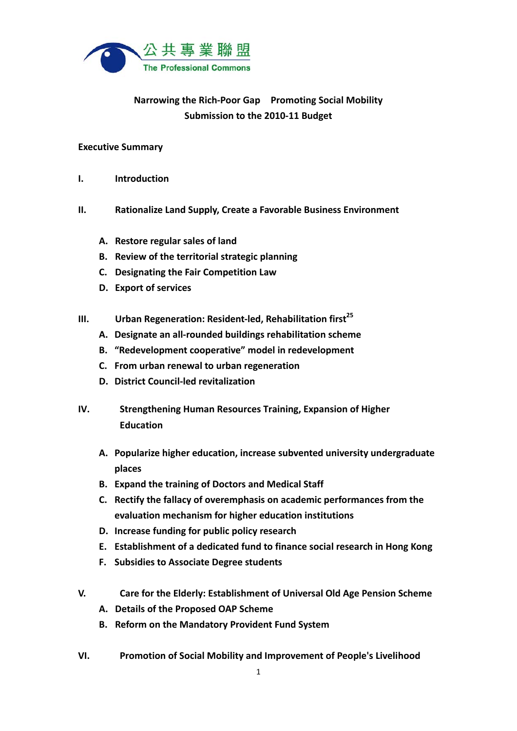

# **Narrowing the Rich‐Poor Gap Promoting Social Mobility Submission to the 2010‐11 Budget**

#### **Executive Summary**

- **I. Introduction**
- **II. Rationalize Land Supply, Create a Favorable Business Environment**
	- **A. Restore regular sales of land**
	- **B. Review of the territorial strategic planning**
	- **C. Designating the Fair Competition Law**
	- **D. Export of services**
- **III. Urban Regeneration: Resident-led, Rehabilitation first**<sup>25</sup>
	- **A. Designate an all‐rounded buildings rehabilitation scheme**
	- **B. "Redevelopment cooperative" model in redevelopment**
	- **C. From urban renewal to urban regeneration**
	- **D. District Council‐led revitalization**
- **IV. Strengthening Human Resources Training, Expansion of Higher Education**
	- **A. Popularize higher education, increase subvented university undergraduate places**
	- **B. Expand the training of Doctors and Medical Staff**
	- **C. Rectify the fallacy of overemphasis on academic performances from the evaluation mechanism for higher education institutions**
	- **D. Increase funding for public policy research**
	- **E. Establishment of a dedicated fund to finance social research in Hong Kong**
	- **F. Subsidies to Associate Degree students**
- **V. Care for the Elderly: Establishment of Universal Old Age Pension Scheme**
	- **A. Details of the Proposed OAP Scheme**
	- **B. Reform on the Mandatory Provident Fund System**
- **VI. Promotion of Social Mobility and Improvement of People's Livelihood**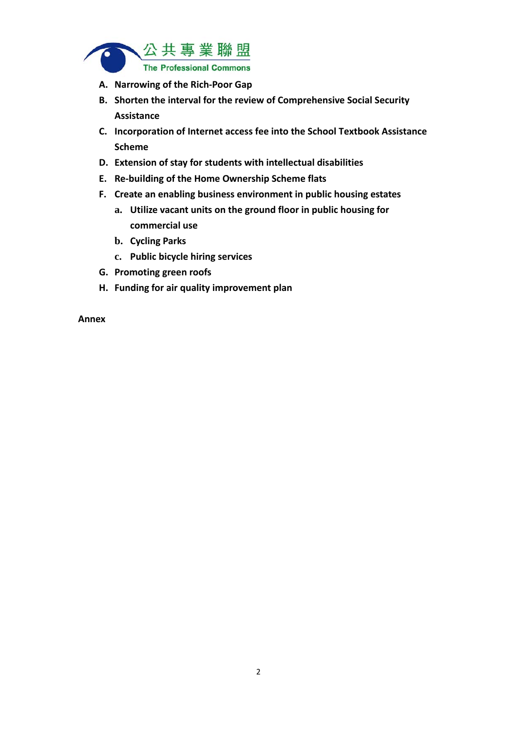

- **A. Narrowing of the Rich‐Poor Gap**
- **B. Shorten the interval for the review of Comprehensive Social Security Assistance**
- **C. Incorporation of Internet access fee into the School Textbook Assistance Scheme**
- **D. Extension of stay for students with intellectual disabilities**
- **E. Re‐building of the Home Ownership Scheme flats**
- **F. Create an enabling business environment in public housing estates**
	- **a. Utilize vacant units on the ground floor in public housing for commercial use**
	- **b. Cycling Parks**
	- **c. Public bicycle hiring services**
- **G. Promoting green roofs**
- **H. Funding for air quality improvement plan**

**Annex**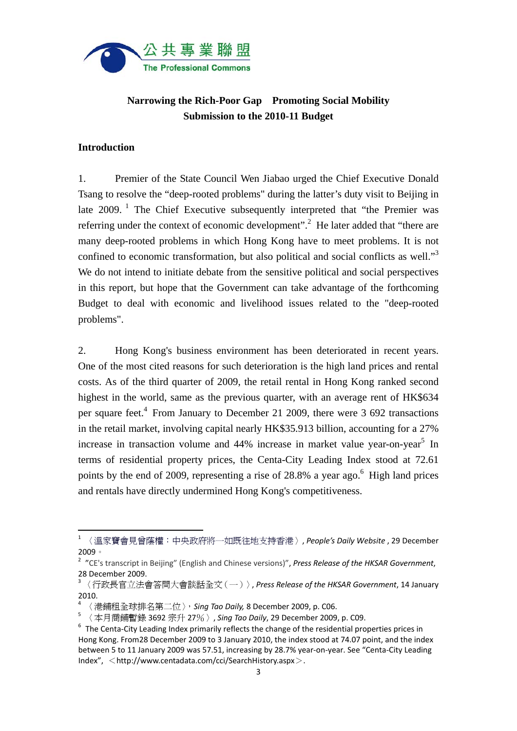

# **Narrowing the Rich-Poor Gap Promoting Social Mobility Submission to the 2010-11 Budget**

#### **Introduction**

1. Premier of the State Council Wen Jiabao urged the Chief Executive Donald Tsang to resolve the "deep-rooted problems" during the latter's duty visit to Beijing in late 2009.<sup>1</sup> The Chief Executive subsequently interpreted that "the Premier was referring under the context of economic development".<sup>2</sup> He later added that "there are many deep-rooted problems in which Hong Kong have to meet problems. It is not confined to economic transformation, but also political and social conflicts as well."3 We do not intend to initiate debate from the sensitive political and social perspectives in this report, but hope that the Government can take advantage of the forthcoming Budget to deal with economic and livelihood issues related to the "deep-rooted problems".

2. Hong Kong's business environment has been deteriorated in recent years. One of the most cited reasons for such deterioration is the high land prices and rental costs. As of the third quarter of 2009, the retail rental in Hong Kong ranked second highest in the world, same as the previous quarter, with an average rent of HK\$634 per square feet.<sup>4</sup> From January to December 21 2009, there were 3 692 transactions in the retail market, involving capital nearly HK\$35.913 billion, accounting for a 27% increase in transaction volume and  $44%$  increase in market value year-on-year<sup>5</sup> In terms of residential property prices, the Centa-City Leading Index stood at 72.61 points by the end of 2009, representing a rise of  $28.8\%$  a year ago.<sup>6</sup> High land prices and rentals have directly undermined Hong Kong's competitiveness.

<sup>1</sup> 〈溫家寶會見曾蔭權:中央政府將一如既往地支持香港〉, *People's Daily Website* , 29 December 2009。

<sup>2</sup> "CE's transcript in Beijing" (English and Chinese versions)", *Press Release of the HKSAR Government*, 28 December 2009.<br><sup>3</sup> 〈行政長官立法會答問大會談話全文(一)〉, *Press Release of the HKSAR Government*, 14 January

<sup>2010.</sup>

<sup>4</sup> 〈港鋪租全球排名第二位〉,*Sing Tao Daily,* 8 December 2009, p. C06.

<sup>5</sup> 〈本月商鋪暫錄 3692 宗升 27%〉, *Sing Tao Daily*, 29 December 2009, p. C09.

 $6$  The Centa-City Leading Index primarily reflects the change of the residential properties prices in Hong Kong. From28 December 2009 to 3 January 2010, the index stood at 74.07 point, and the index between 5 to 11 January 2009 was 57.51, increasing by 28.7% year‐on‐year. See "Centa‐City Leading  $Index''.$  <http://www.centadata.com/cci/SearchHistory.aspx>.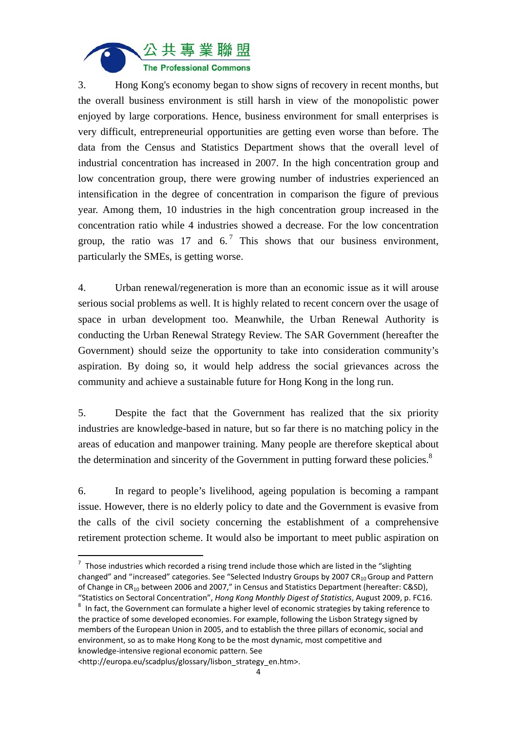

3. Hong Kong's economy began to show signs of recovery in recent months, but the overall business environment is still harsh in view of the monopolistic power enjoyed by large corporations. Hence, business environment for small enterprises is very difficult, entrepreneurial opportunities are getting even worse than before. The data from the Census and Statistics Department shows that the overall level of industrial concentration has increased in 2007. In the high concentration group and low concentration group, there were growing number of industries experienced an intensification in the degree of concentration in comparison the figure of previous year. Among them, 10 industries in the high concentration group increased in the concentration ratio while 4 industries showed a decrease. For the low concentration group, the ratio was 17 and  $6<sup>7</sup>$ . This shows that our business environment, particularly the SMEs, is getting worse.

4. Urban renewal/regeneration is more than an economic issue as it will arouse serious social problems as well. It is highly related to recent concern over the usage of space in urban development too. Meanwhile, the Urban Renewal Authority is conducting the Urban Renewal Strategy Review. The SAR Government (hereafter the Government) should seize the opportunity to take into consideration community's aspiration. By doing so, it would help address the social grievances across the community and achieve a sustainable future for Hong Kong in the long run.

5. Despite the fact that the Government has realized that the six priority industries are knowledge-based in nature, but so far there is no matching policy in the areas of education and manpower training. Many people are therefore skeptical about the determination and sincerity of the Government in putting forward these policies. $8$ 

6. In regard to people's livelihood, ageing population is becoming a rampant issue. However, there is no elderly policy to date and the Government is evasive from the calls of the civil society concerning the establishment of a comprehensive retirement protection scheme. It would also be important to meet public aspiration on

  $7\text{}$  Those industries which recorded a rising trend include those which are listed in the "slighting" changed" and "increased" categories. See "Selected Industry Groups by 2007  $CR_{10}$  Group and Pattern of Change in CR<sub>10</sub> between 2006 and 2007," in Census and Statistics Department (hereafter: C&SD),

<sup>&</sup>quot;Statistics on Sectoral Concentration", *Hong Kong Monthly Digest of Statistics*, August 2009, p. FC16.<br><sup>8</sup> In fact, the Government can formulate a higher level of economic strategies by taking reference to the practice of some developed economies. For example, following the Lisbon Strategy signed by members of the European Union in 2005, and to establish the three pillars of economic, social and environment, so as to make Hong Kong to be the most dynamic, most competitive and knowledge‐intensive regional economic pattern. See

<sup>&</sup>lt;http://europa.eu/scadplus/glossary/lisbon\_strategy\_en.htm>.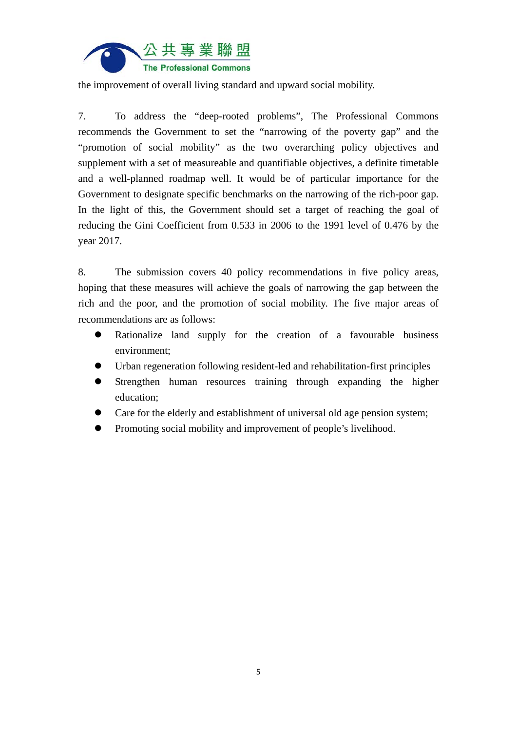

the improvement of overall living standard and upward social mobility.

7. To address the "deep-rooted problems", The Professional Commons recommends the Government to set the "narrowing of the poverty gap" and the "promotion of social mobility" as the two overarching policy objectives and supplement with a set of measureable and quantifiable objectives, a definite timetable and a well-planned roadmap well. It would be of particular importance for the Government to designate specific benchmarks on the narrowing of the rich-poor gap. In the light of this, the Government should set a target of reaching the goal of reducing the Gini Coefficient from 0.533 in 2006 to the 1991 level of 0.476 by the year 2017.

8. The submission covers 40 policy recommendations in five policy areas, hoping that these measures will achieve the goals of narrowing the gap between the rich and the poor, and the promotion of social mobility. The five major areas of recommendations are as follows:

- Rationalize land supply for the creation of a favourable business environment;
- Urban regeneration following resident-led and rehabilitation-first principles
- Strengthen human resources training through expanding the higher education;
- Care for the elderly and establishment of universal old age pension system;
- Promoting social mobility and improvement of people's livelihood.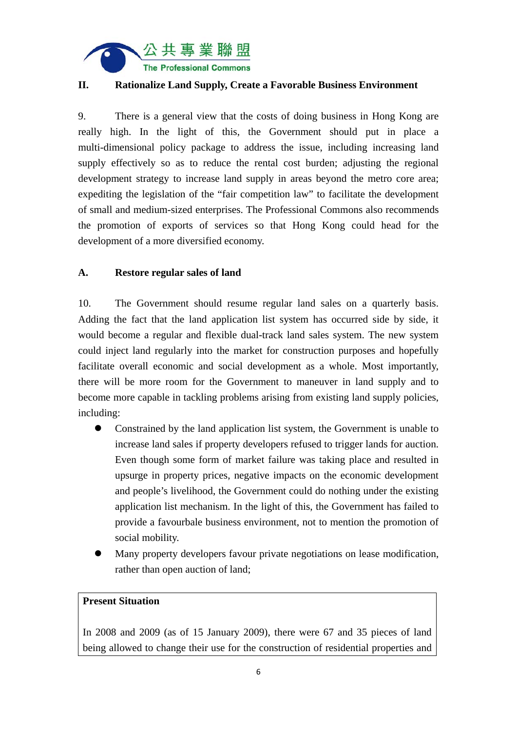

## **II. Rationalize Land Supply, Create a Favorable Business Environment**

9. There is a general view that the costs of doing business in Hong Kong are really high. In the light of this, the Government should put in place a multi-dimensional policy package to address the issue, including increasing land supply effectively so as to reduce the rental cost burden; adjusting the regional development strategy to increase land supply in areas beyond the metro core area; expediting the legislation of the "fair competition law" to facilitate the development of small and medium-sized enterprises. The Professional Commons also recommends the promotion of exports of services so that Hong Kong could head for the development of a more diversified economy.

#### **A. Restore regular sales of land**

10. The Government should resume regular land sales on a quarterly basis. Adding the fact that the land application list system has occurred side by side, it would become a regular and flexible dual-track land sales system. The new system could inject land regularly into the market for construction purposes and hopefully facilitate overall economic and social development as a whole. Most importantly, there will be more room for the Government to maneuver in land supply and to become more capable in tackling problems arising from existing land supply policies, including:

- Constrained by the land application list system, the Government is unable to increase land sales if property developers refused to trigger lands for auction. Even though some form of market failure was taking place and resulted in upsurge in property prices, negative impacts on the economic development and people's livelihood, the Government could do nothing under the existing application list mechanism. In the light of this, the Government has failed to provide a favourbale business environment, not to mention the promotion of social mobility.
- Many property developers favour private negotiations on lease modification, rather than open auction of land;

#### **Present Situation**

In 2008 and 2009 (as of 15 January 2009), there were 67 and 35 pieces of land being allowed to change their use for the construction of residential properties and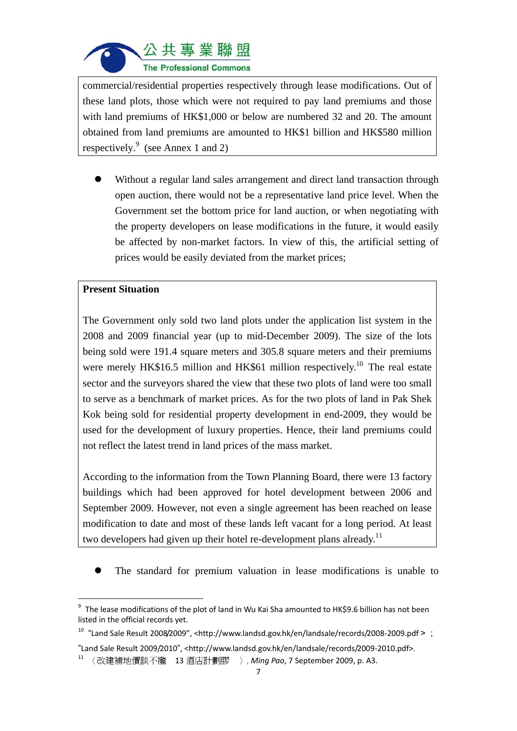

commercial/residential properties respectively through lease modifications. Out of these land plots, those which were not required to pay land premiums and those with land premiums of HK\$1,000 or below are numbered 32 and 20. The amount obtained from land premiums are amounted to HK\$1 billion and HK\$580 million respectively.<sup>9</sup> (see Annex 1 and 2)

 Without a regular land sales arrangement and direct land transaction through open auction, there would not be a representative land price level. When the Government set the bottom price for land auction, or when negotiating with the property developers on lease modifications in the future, it would easily be affected by non-market factors. In view of this, the artificial setting of prices would be easily deviated from the market prices;

#### **Present Situation**

The Government only sold two land plots under the application list system in the 2008 and 2009 financial year (up to mid-December 2009). The size of the lots being sold were 191.4 square meters and 305.8 square meters and their premiums were merely HK\$16.5 million and HK\$61 million respectively.<sup>10</sup> The real estate sector and the surveyors shared the view that these two plots of land were too small to serve as a benchmark of market prices. As for the two plots of land in Pak Shek Kok being sold for residential property development in end-2009, they would be used for the development of luxury properties. Hence, their land premiums could not reflect the latest trend in land prices of the mass market.

According to the information from the Town Planning Board, there were 13 factory buildings which had been approved for hotel development between 2006 and September 2009. However, not even a single agreement has been reached on lease modification to date and most of these lands left vacant for a long period. At least two developers had given up their hotel re-development plans already.<sup>11</sup>

The standard for premium valuation in lease modifications is unable to

<sup>&</sup>lt;sup>9</sup> The lease modifications of the plot of land in Wu Kai Sha amounted to HK\$9.6 billion has not been listed in the official records yet.

<sup>&</sup>lt;sup>10</sup> "Land Sale Result 2008/2009", <http://www.landsd.gov.hk/en/landsale/records/2008-2009.pdf >;

<sup>&</sup>quot;Land Sale Result 2009/2010", <http://www.landsd.gov.hk/en/landsale/records/2009‐2010.pdf>.

<sup>11</sup> 〈改建補地價談不攏 13 酒店計劃膠 〉, *Ming Pao*, 7 September 2009, p. A3.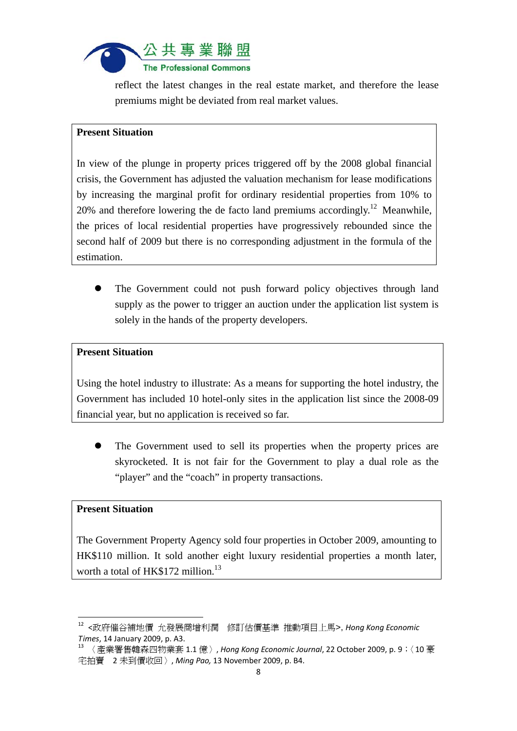

reflect the latest changes in the real estate market, and therefore the lease premiums might be deviated from real market values.

#### **Present Situation**

In view of the plunge in property prices triggered off by the 2008 global financial crisis, the Government has adjusted the valuation mechanism for lease modifications by increasing the marginal profit for ordinary residential properties from 10% to 20% and therefore lowering the de facto land premiums accordingly.<sup>12</sup> Meanwhile, the prices of local residential properties have progressively rebounded since the second half of 2009 but there is no corresponding adjustment in the formula of the estimation.

 The Government could not push forward policy objectives through land supply as the power to trigger an auction under the application list system is solely in the hands of the property developers.

#### **Present Situation**

Using the hotel industry to illustrate: As a means for supporting the hotel industry, the Government has included 10 hotel-only sites in the application list since the 2008-09 financial year, but no application is received so far.

 The Government used to sell its properties when the property prices are skyrocketed. It is not fair for the Government to play a dual role as the "player" and the "coach" in property transactions.

#### **Present Situation**

The Government Property Agency sold four properties in October 2009, amounting to HK\$110 million. It sold another eight luxury residential properties a month later, worth a total of HK\$172 million.<sup>13</sup>

<sup>12</sup> <政府催谷補地價 允發展商增利潤 修訂估價基準 推動項目上馬>, *Hong Kong Economic Times*, <sup>14</sup> January 2009, p. A3. <sup>13</sup> 〈產業署售韓森四物業套 1.1 億〉, *Hong Kong Economic Journal*, <sup>22</sup> October 2009, p. <sup>9</sup>;〈<sup>10</sup> <sup>豪</sup>

宅拍賣 2 未到價收回〉, *Ming Pao,* 13 November 2009, p. B4.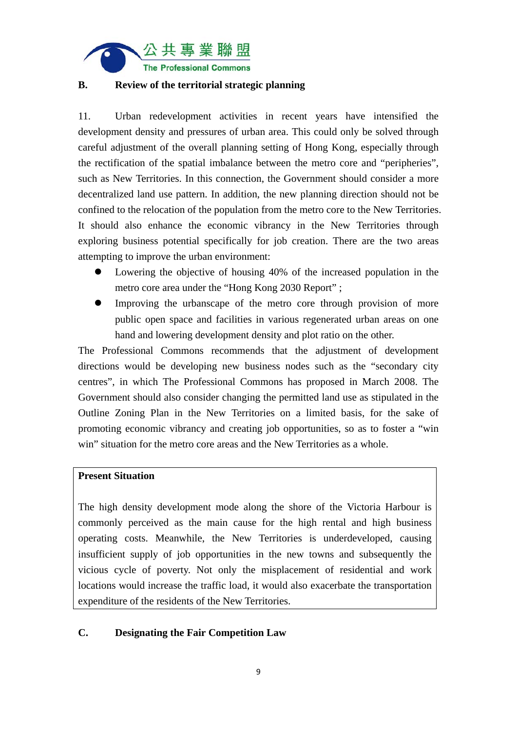

## **B. Review of the territorial strategic planning**

11. Urban redevelopment activities in recent years have intensified the development density and pressures of urban area. This could only be solved through careful adjustment of the overall planning setting of Hong Kong, especially through the rectification of the spatial imbalance between the metro core and "peripheries", such as New Territories. In this connection, the Government should consider a more decentralized land use pattern. In addition, the new planning direction should not be confined to the relocation of the population from the metro core to the New Territories. It should also enhance the economic vibrancy in the New Territories through exploring business potential specifically for job creation. There are the two areas attempting to improve the urban environment:

- Lowering the objective of housing 40% of the increased population in the metro core area under the "Hong Kong 2030 Report" ;
- Improving the urbanscape of the metro core through provision of more public open space and facilities in various regenerated urban areas on one hand and lowering development density and plot ratio on the other.

The Professional Commons recommends that the adjustment of development directions would be developing new business nodes such as the "secondary city centres", in which The Professional Commons has proposed in March 2008. The Government should also consider changing the permitted land use as stipulated in the Outline Zoning Plan in the New Territories on a limited basis, for the sake of promoting economic vibrancy and creating job opportunities, so as to foster a "win win" situation for the metro core areas and the New Territories as a whole.

### **Present Situation**

The high density development mode along the shore of the Victoria Harbour is commonly perceived as the main cause for the high rental and high business operating costs. Meanwhile, the New Territories is underdeveloped, causing insufficient supply of job opportunities in the new towns and subsequently the vicious cycle of poverty. Not only the misplacement of residential and work locations would increase the traffic load, it would also exacerbate the transportation expenditure of the residents of the New Territories.

#### **C. Designating the Fair Competition Law**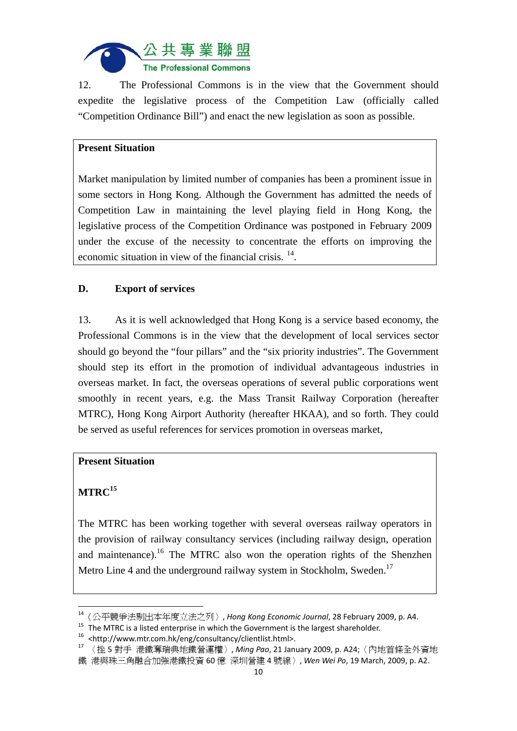

12. The Professional Commons is in the view that the Government should expedite the legislative process of the Competition Law (officially called "Competition Ordinance Bill") and enact the new legislation as soon as possible.

## **Present Situation**

Market manipulation by limited number of companies has been a prominent issue in some sectors in Hong Kong. Although the Government has admitted the needs of Competition Law in maintaining the level playing field in Hong Kong, the legislative process of the Competition Ordinance was postponed in February 2009 under the excuse of the necessity to concentrate the efforts on improving the economic situation in view of the financial crisis. <sup>14</sup>.

## **D. Export of services**

13. As it is well acknowledged that Hong Kong is a service based economy, the Professional Commons is in the view that the development of local services sector should go beyond the "four pillars" and the "six priority industries". The Government should step its effort in the promotion of individual advantageous industries in overseas market. In fact, the overseas operations of several public corporations went smoothly in recent years, e.g. the Mass Transit Railway Corporation (hereafter MTRC), Hong Kong Airport Authority (hereafter HKAA), and so forth. They could be served as useful references for services promotion in overseas market,

#### **Present Situation**

## $MTRC<sup>15</sup>$

The MTRC has been working together with several overseas railway operators in the provision of railway consultancy services (including railway design, operation and maintenance).<sup>16</sup> The MTRC also won the operation rights of the Shenzhen Metro Line 4 and the underground railway system in Stockholm, Sweden.<sup>17</sup>

<sup>14</sup>〈公平競爭法剔出本年度立法之列〉, *Hong Kong Economic Journal*, 28 February 2009, p. A4.

<sup>&</sup>lt;sup>15</sup> The MTRC is a listed enterprise in which the Government is the largest shareholder.<br><sup>16</sup> <http://www.mtr.com.hk/eng/consultancy/clientlist.html>.<br><sup>17</sup> 〈挫5對手 港鐵奪瑞典地鐵營運權〉, *Ming Pao*, 21 January 2009, p. A24;〈內地首條全外資地 鐵 港與珠三角融合加強港鐵投資 60 億 深圳營建 4 號線〉, *Wen Wei Po*, 19 March, 2009, p. A2.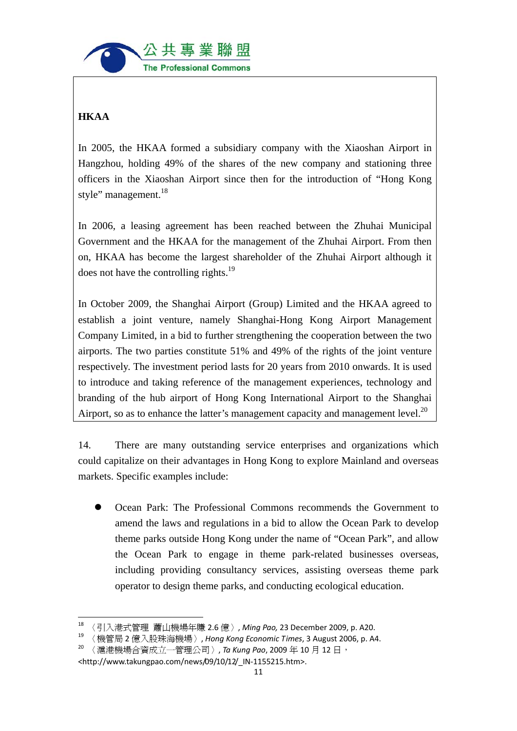

# **HKAA**

In 2005, the HKAA formed a subsidiary company with the Xiaoshan Airport in Hangzhou, holding 49% of the shares of the new company and stationing three officers in the Xiaoshan Airport since then for the introduction of "Hong Kong style" management.<sup>18</sup>

In 2006, a leasing agreement has been reached between the Zhuhai Municipal Government and the HKAA for the management of the Zhuhai Airport. From then on, HKAA has become the largest shareholder of the Zhuhai Airport although it does not have the controlling rights.<sup>19</sup>

In October 2009, the Shanghai Airport (Group) Limited and the HKAA agreed to establish a joint venture, namely Shanghai-Hong Kong Airport Management Company Limited, in a bid to further strengthening the cooperation between the two airports. The two parties constitute 51% and 49% of the rights of the joint venture respectively. The investment period lasts for 20 years from 2010 onwards. It is used to introduce and taking reference of the management experiences, technology and branding of the hub airport of Hong Kong International Airport to the Shanghai Airport, so as to enhance the latter's management capacity and management level. $^{20}$ 

14. There are many outstanding service enterprises and organizations which could capitalize on their advantages in Hong Kong to explore Mainland and overseas markets. Specific examples include:

 Ocean Park: The Professional Commons recommends the Government to amend the laws and regulations in a bid to allow the Ocean Park to develop theme parks outside Hong Kong under the name of "Ocean Park", and allow the Ocean Park to engage in theme park-related businesses overseas, including providing consultancy services, assisting overseas theme park operator to design theme parks, and conducting ecological education.

 <sup>18</sup> 〈引入港式管理 蕭山機場年賺 2.6 億〉, *Ming Pao,* 23 December 2009, p. A20.

<sup>19</sup> 〈機管局 2 億入股珠海機場〉, *Hong Kong Economic Times*, 3 August 2006, p. A4.

<sup>20</sup> 〈滬港機場合資成立一管理公司〉, *Ta Kung Pao*, 2009 年 10 月 12 日,

<sup>&</sup>lt;http://www.takungpao.com/news/09/10/12/\_IN‐1155215.htm>.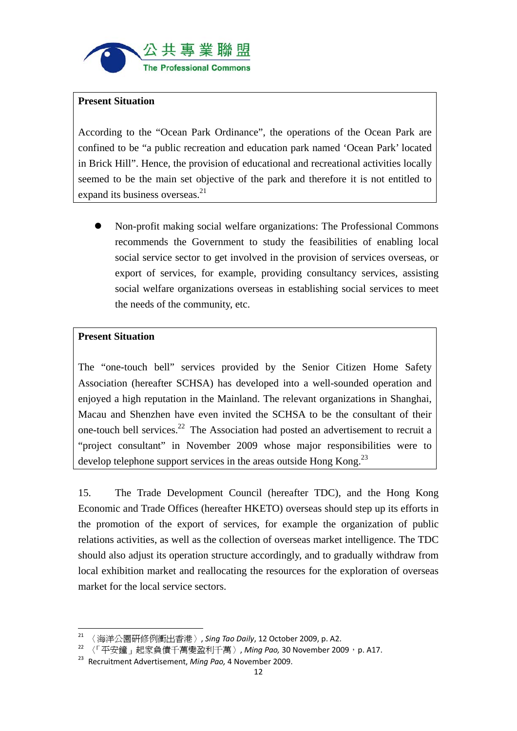

#### **Present Situation**

According to the "Ocean Park Ordinance", the operations of the Ocean Park are confined to be "a public recreation and education park named 'Ocean Park' located in Brick Hill". Hence, the provision of educational and recreational activities locally seemed to be the main set objective of the park and therefore it is not entitled to expand its business overseas.<sup>21</sup>

 Non-profit making social welfare organizations: The Professional Commons recommends the Government to study the feasibilities of enabling local social service sector to get involved in the provision of services overseas, or export of services, for example, providing consultancy services, assisting social welfare organizations overseas in establishing social services to meet the needs of the community, etc.

#### **Present Situation**

The "one-touch bell" services provided by the Senior Citizen Home Safety Association (hereafter SCHSA) has developed into a well-sounded operation and enjoyed a high reputation in the Mainland. The relevant organizations in Shanghai, Macau and Shenzhen have even invited the SCHSA to be the consultant of their one-touch bell services.22 The Association had posted an advertisement to recruit a "project consultant" in November 2009 whose major responsibilities were to develop telephone support services in the areas outside Hong Kong.<sup>23</sup>

15. The Trade Development Council (hereafter TDC), and the Hong Kong Economic and Trade Offices (hereafter HKETO) overseas should step up its efforts in the promotion of the export of services, for example the organization of public relations activities, as well as the collection of overseas market intelligence. The TDC should also adjust its operation structure accordingly, and to gradually withdraw from local exhibition market and reallocating the resources for the exploration of overseas market for the local service sectors.

<sup>21</sup> 〈海洋公園研修例衝出香港〉, *Sing Tao Daily*, 12 October 2009, p. A2.

<sup>22</sup> 〈「平安鐘」起家負債千萬變盈利千萬〉, *Ming Pao,* 30 November 2009,p. A17.

<sup>23</sup> Recruitment Advertisement, *Ming Pao,* 4 November 2009.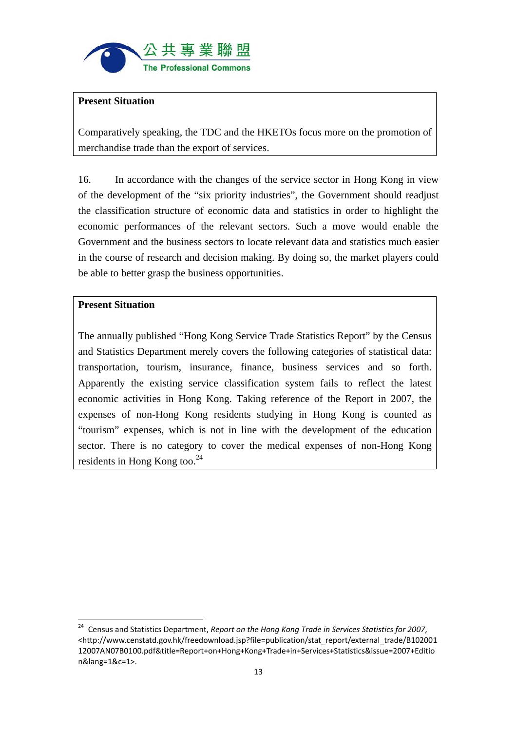

### **Present Situation**

Comparatively speaking, the TDC and the HKETOs focus more on the promotion of merchandise trade than the export of services.

16. In accordance with the changes of the service sector in Hong Kong in view of the development of the "six priority industries", the Government should readjust the classification structure of economic data and statistics in order to highlight the economic performances of the relevant sectors. Such a move would enable the Government and the business sectors to locate relevant data and statistics much easier in the course of research and decision making. By doing so, the market players could be able to better grasp the business opportunities.

#### **Present Situation**

The annually published "Hong Kong Service Trade Statistics Report" by the Census and Statistics Department merely covers the following categories of statistical data: transportation, tourism, insurance, finance, business services and so forth. Apparently the existing service classification system fails to reflect the latest economic activities in Hong Kong. Taking reference of the Report in 2007, the expenses of non-Hong Kong residents studying in Hong Kong is counted as "tourism" expenses, which is not in line with the development of the education sector. There is no category to cover the medical expenses of non-Hong Kong residents in Hong Kong too.<sup>24</sup>

<sup>24</sup> Census and Statistics Department, *Report on the Hong Kong Trade in Services Statistics for 2007*, <http://www.censtatd.gov.hk/freedownload.jsp?file=publication/stat\_report/external\_trade/B102001 12007AN07B0100.pdf&title=Report+on+Hong+Kong+Trade+in+Services+Statistics&issue=2007+Editio n&lang=1&c=1>.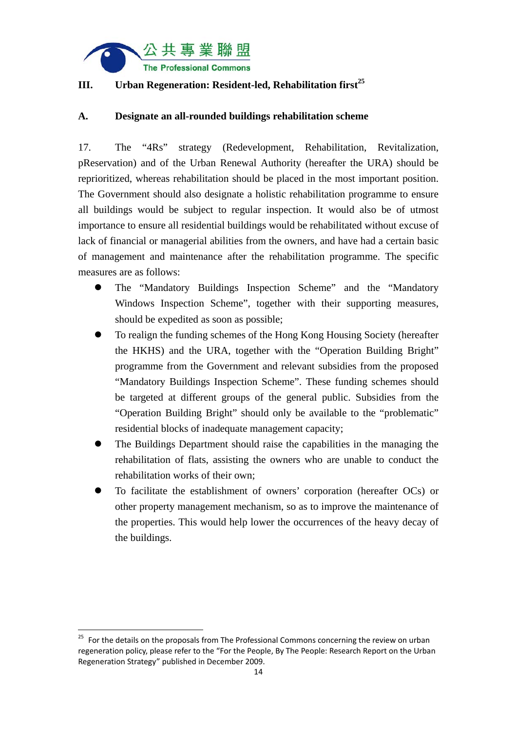

## **III.** Urban Regeneration: Resident-led, Rehabilitation first<sup>25</sup>

## **A. Designate an all-rounded buildings rehabilitation scheme**

17. The "4Rs" strategy (Redevelopment, Rehabilitation, Revitalization, pReservation) and of the Urban Renewal Authority (hereafter the URA) should be reprioritized, whereas rehabilitation should be placed in the most important position. The Government should also designate a holistic rehabilitation programme to ensure all buildings would be subject to regular inspection. It would also be of utmost importance to ensure all residential buildings would be rehabilitated without excuse of lack of financial or managerial abilities from the owners, and have had a certain basic of management and maintenance after the rehabilitation programme. The specific measures are as follows:

- The "Mandatory Buildings Inspection Scheme" and the "Mandatory Windows Inspection Scheme", together with their supporting measures, should be expedited as soon as possible;
- To realign the funding schemes of the Hong Kong Housing Society (hereafter the HKHS) and the URA, together with the "Operation Building Bright" programme from the Government and relevant subsidies from the proposed "Mandatory Buildings Inspection Scheme". These funding schemes should be targeted at different groups of the general public. Subsidies from the "Operation Building Bright" should only be available to the "problematic" residential blocks of inadequate management capacity;
- The Buildings Department should raise the capabilities in the managing the rehabilitation of flats, assisting the owners who are unable to conduct the rehabilitation works of their own;
- To facilitate the establishment of owners' corporation (hereafter OCs) or other property management mechanism, so as to improve the maintenance of the properties. This would help lower the occurrences of the heavy decay of the buildings.

 <sup>25</sup> For the details on the proposals from The Professional Commons concerning the review on urban regeneration policy, please refer to the "For the People, By The People: Research Report on the Urban Regeneration Strategy" published in December 2009.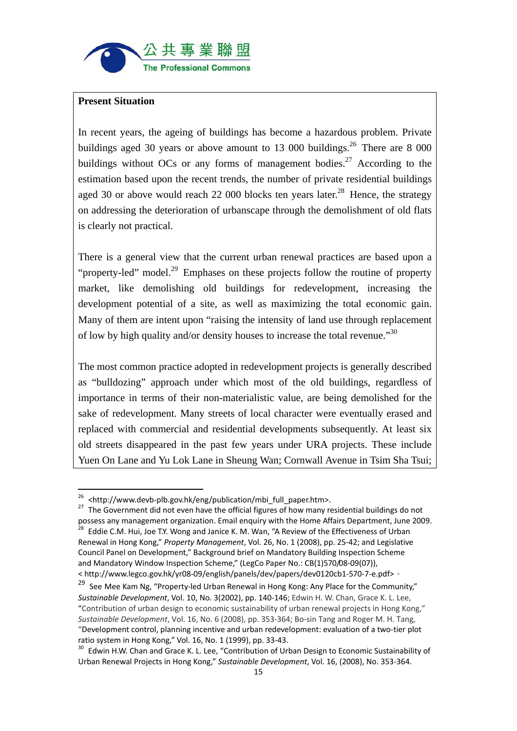

#### **Present Situation**

In recent years, the ageing of buildings has become a hazardous problem. Private buildings aged 30 years or above amount to 13 000 buildings.<sup>26</sup> There are 8 000 buildings without OCs or any forms of management bodies.<sup>27</sup> According to the estimation based upon the recent trends, the number of private residential buildings aged 30 or above would reach 22 000 blocks ten years later.<sup>28</sup> Hence, the strategy on addressing the deterioration of urbanscape through the demolishment of old flats is clearly not practical.

There is a general view that the current urban renewal practices are based upon a "property-led" model.<sup>29</sup> Emphases on these projects follow the routine of property market, like demolishing old buildings for redevelopment, increasing the development potential of a site, as well as maximizing the total economic gain. Many of them are intent upon "raising the intensity of land use through replacement of low by high quality and/or density houses to increase the total revenue."30

The most common practice adopted in redevelopment projects is generally described as "bulldozing" approach under which most of the old buildings, regardless of importance in terms of their non-materialistic value, are being demolished for the sake of redevelopment. Many streets of local character were eventually erased and replaced with commercial and residential developments subsequently. At least six old streets disappeared in the past few years under URA projects. These include Yuen On Lane and Yu Lok Lane in Sheung Wan; Cornwall Avenue in Tsim Sha Tsui;

<sup>&</sup>lt;sup>26</sup> <http://www.devb-plb.gov.hk/eng/publication/mbi\_full\_paper.htm>.

<sup>&</sup>lt;sup>27</sup> The Government did not even have the official figures of how many residential buildings do not possess any management organization. Email enquiry with the Home Affairs Department, June 2009.<br><sup>28</sup> Eddie C.M. Hui, Joe T.Y. Wong and Janice K. M. Wan, "A Review of the Effectiveness of Urban Renewal in Hong Kong," *Property Management*, Vol. 26, No. 1 (2008), pp. 25‐42; and Legislative Council Panel on Development," Background brief on Mandatory Building Inspection Scheme and Mandatory Window Inspection Scheme," (LegCo Paper No.: CB(1)570/08‐09(07)), < http://www.legco.gov.hk/yr08‐09/english/panels/dev/papers/dev0120cb1‐570‐7‐e.pdf>。

<sup>&</sup>lt;sup>29</sup> See Mee Kam Ng, "Property-led Urban Renewal in Hong Kong: Any Place for the Community," *Sustainable Development*, Vol. 10, No. 3(2002), pp. 140‐146; Edwin H. W. Chan, Grace K. L. Lee, "Contribution of urban design to economic sustainability of urban renewal projects in Hong Kong," *Sustainable Development*, Vol. 16, No. 6 (2008), pp. 353‐364; Bo‐sin Tang and Roger M. H. Tang, "Development control, planning incentive and urban redevelopment: evaluation of a two‐tier plot ratio system in Hong Kong," Vol. 16, No. 1 (1999), pp. 33-43.<br><sup>30</sup> Edwin H.W. Chan and Grace K. L. Lee, "Contribution of Urban Design to Economic Sustainability of

Urban Renewal Projects in Hong Kong," *Sustainable Development*, Vol. 16, (2008), No. 353‐364.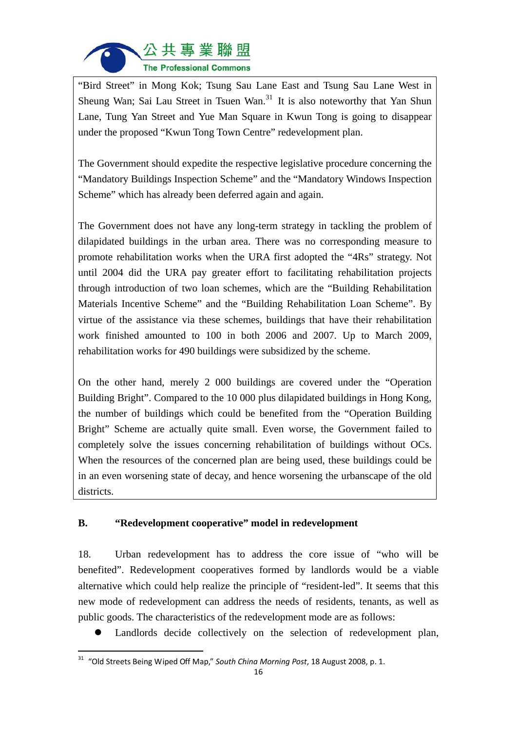

"Bird Street" in Mong Kok; Tsung Sau Lane East and Tsung Sau Lane West in Sheung Wan; Sai Lau Street in Tsuen Wan.<sup>31</sup> It is also noteworthy that Yan Shun Lane, Tung Yan Street and Yue Man Square in Kwun Tong is going to disappear under the proposed "Kwun Tong Town Centre" redevelopment plan.

The Government should expedite the respective legislative procedure concerning the "Mandatory Buildings Inspection Scheme" and the "Mandatory Windows Inspection Scheme" which has already been deferred again and again.

The Government does not have any long-term strategy in tackling the problem of dilapidated buildings in the urban area. There was no corresponding measure to promote rehabilitation works when the URA first adopted the "4Rs" strategy. Not until 2004 did the URA pay greater effort to facilitating rehabilitation projects through introduction of two loan schemes, which are the "Building Rehabilitation Materials Incentive Scheme" and the "Building Rehabilitation Loan Scheme". By virtue of the assistance via these schemes, buildings that have their rehabilitation work finished amounted to 100 in both 2006 and 2007. Up to March 2009, rehabilitation works for 490 buildings were subsidized by the scheme.

On the other hand, merely 2 000 buildings are covered under the "Operation Building Bright". Compared to the 10 000 plus dilapidated buildings in Hong Kong, the number of buildings which could be benefited from the "Operation Building Bright" Scheme are actually quite small. Even worse, the Government failed to completely solve the issues concerning rehabilitation of buildings without OCs. When the resources of the concerned plan are being used, these buildings could be in an even worsening state of decay, and hence worsening the urbanscape of the old districts.

## **B. "Redevelopment cooperative" model in redevelopment**

18. Urban redevelopment has to address the core issue of "who will be benefited". Redevelopment cooperatives formed by landlords would be a viable alternative which could help realize the principle of "resident-led". It seems that this new mode of redevelopment can address the needs of residents, tenants, as well as public goods. The characteristics of the redevelopment mode are as follows:

Landlords decide collectively on the selection of redevelopment plan,

<sup>31</sup> "Old Streets Being Wiped Off Map," *South China Morning Post*, 18 August 2008, p. 1.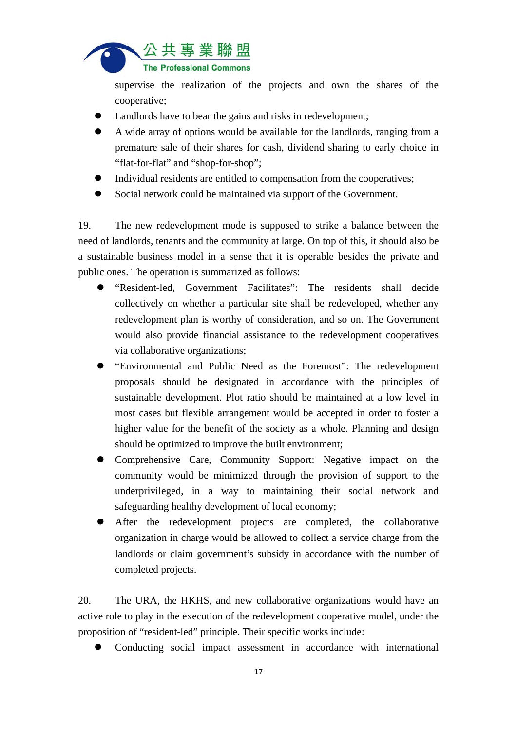

supervise the realization of the projects and own the shares of the cooperative;

- Landlords have to bear the gains and risks in redevelopment;
- A wide array of options would be available for the landlords, ranging from a premature sale of their shares for cash, dividend sharing to early choice in "flat-for-flat" and "shop-for-shop";
- Individual residents are entitled to compensation from the cooperatives;
- Social network could be maintained via support of the Government.

19. The new redevelopment mode is supposed to strike a balance between the need of landlords, tenants and the community at large. On top of this, it should also be a sustainable business model in a sense that it is operable besides the private and public ones. The operation is summarized as follows:

- "Resident-led, Government Facilitates": The residents shall decide collectively on whether a particular site shall be redeveloped, whether any redevelopment plan is worthy of consideration, and so on. The Government would also provide financial assistance to the redevelopment cooperatives via collaborative organizations;
- "Environmental and Public Need as the Foremost": The redevelopment proposals should be designated in accordance with the principles of sustainable development. Plot ratio should be maintained at a low level in most cases but flexible arrangement would be accepted in order to foster a higher value for the benefit of the society as a whole. Planning and design should be optimized to improve the built environment;
- Comprehensive Care, Community Support: Negative impact on the community would be minimized through the provision of support to the underprivileged, in a way to maintaining their social network and safeguarding healthy development of local economy;
- After the redevelopment projects are completed, the collaborative organization in charge would be allowed to collect a service charge from the landlords or claim government's subsidy in accordance with the number of completed projects.

20. The URA, the HKHS, and new collaborative organizations would have an active role to play in the execution of the redevelopment cooperative model, under the proposition of "resident-led" principle. Their specific works include:

Conducting social impact assessment in accordance with international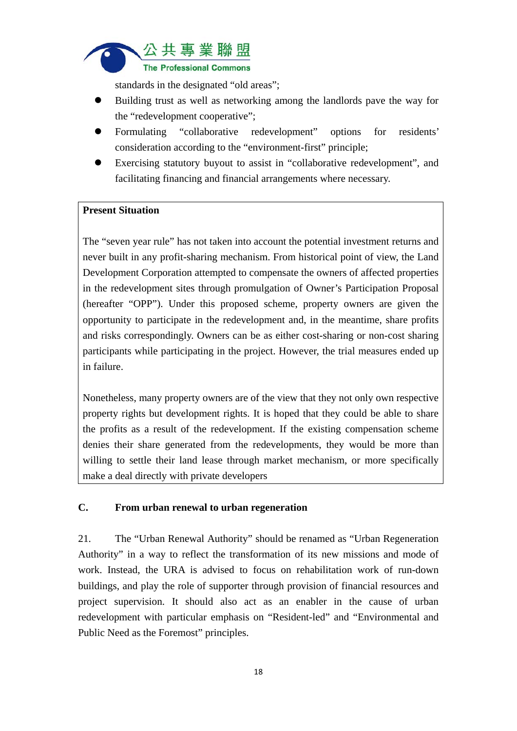

standards in the designated "old areas";

- Building trust as well as networking among the landlords pave the way for the "redevelopment cooperative";
- Formulating "collaborative redevelopment" options for residents' consideration according to the "environment-first" principle;
- Exercising statutory buyout to assist in "collaborative redevelopment", and facilitating financing and financial arrangements where necessary.

## **Present Situation**

The "seven year rule" has not taken into account the potential investment returns and never built in any profit-sharing mechanism. From historical point of view, the Land Development Corporation attempted to compensate the owners of affected properties in the redevelopment sites through promulgation of Owner's Participation Proposal (hereafter "OPP"). Under this proposed scheme, property owners are given the opportunity to participate in the redevelopment and, in the meantime, share profits and risks correspondingly. Owners can be as either cost-sharing or non-cost sharing participants while participating in the project. However, the trial measures ended up in failure.

Nonetheless, many property owners are of the view that they not only own respective property rights but development rights. It is hoped that they could be able to share the profits as a result of the redevelopment. If the existing compensation scheme denies their share generated from the redevelopments, they would be more than willing to settle their land lease through market mechanism, or more specifically make a deal directly with private developers

## **C. From urban renewal to urban regeneration**

21. The "Urban Renewal Authority" should be renamed as "Urban Regeneration Authority" in a way to reflect the transformation of its new missions and mode of work. Instead, the URA is advised to focus on rehabilitation work of run-down buildings, and play the role of supporter through provision of financial resources and project supervision. It should also act as an enabler in the cause of urban redevelopment with particular emphasis on "Resident-led" and "Environmental and Public Need as the Foremost" principles.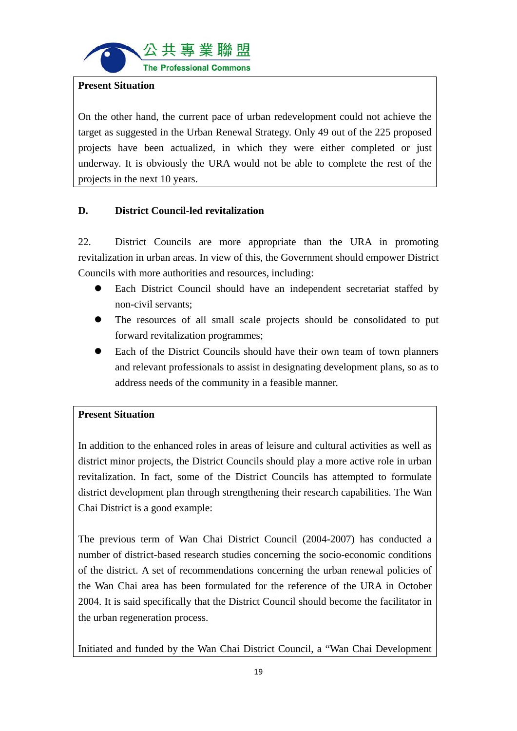

#### **Present Situation**

On the other hand, the current pace of urban redevelopment could not achieve the target as suggested in the Urban Renewal Strategy. Only 49 out of the 225 proposed projects have been actualized, in which they were either completed or just underway. It is obviously the URA would not be able to complete the rest of the projects in the next 10 years.

## **D. District Council-led revitalization**

22. District Councils are more appropriate than the URA in promoting revitalization in urban areas. In view of this, the Government should empower District Councils with more authorities and resources, including:

- Each District Council should have an independent secretariat staffed by non-civil servants;
- The resources of all small scale projects should be consolidated to put forward revitalization programmes;
- Each of the District Councils should have their own team of town planners and relevant professionals to assist in designating development plans, so as to address needs of the community in a feasible manner.

## **Present Situation**

In addition to the enhanced roles in areas of leisure and cultural activities as well as district minor projects, the District Councils should play a more active role in urban revitalization. In fact, some of the District Councils has attempted to formulate district development plan through strengthening their research capabilities. The Wan Chai District is a good example:

The previous term of Wan Chai District Council (2004-2007) has conducted a number of district-based research studies concerning the socio-economic conditions of the district. A set of recommendations concerning the urban renewal policies of the Wan Chai area has been formulated for the reference of the URA in October 2004. It is said specifically that the District Council should become the facilitator in the urban regeneration process.

Initiated and funded by the Wan Chai District Council, a "Wan Chai Development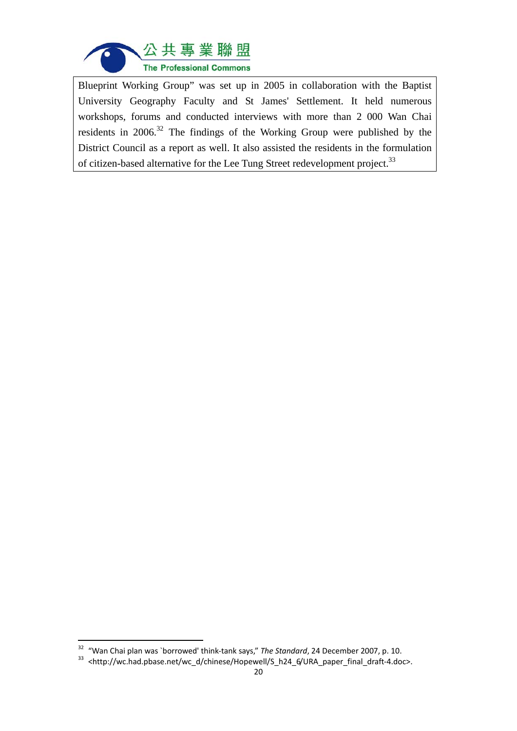

Blueprint Working Group" was set up in 2005 in collaboration with the Baptist University Geography Faculty and St James' Settlement. It held numerous workshops, forums and conducted interviews with more than 2 000 Wan Chai residents in  $2006$ <sup>32</sup>. The findings of the Working Group were published by the District Council as a report as well. It also assisted the residents in the formulation of citizen-based alternative for the Lee Tung Street redevelopment project.<sup>33</sup>

<sup>&</sup>lt;sup>32</sup> "Wan Chai plan was `borrowed' think-tank says," *The Standard*, 24 December 2007, p. 10.<br><sup>33</sup> <http://wc.had.pbase.net/wc\_d/chinese/Hopewell/S\_h24\_6/URA\_paper\_final\_draft-4.doc>.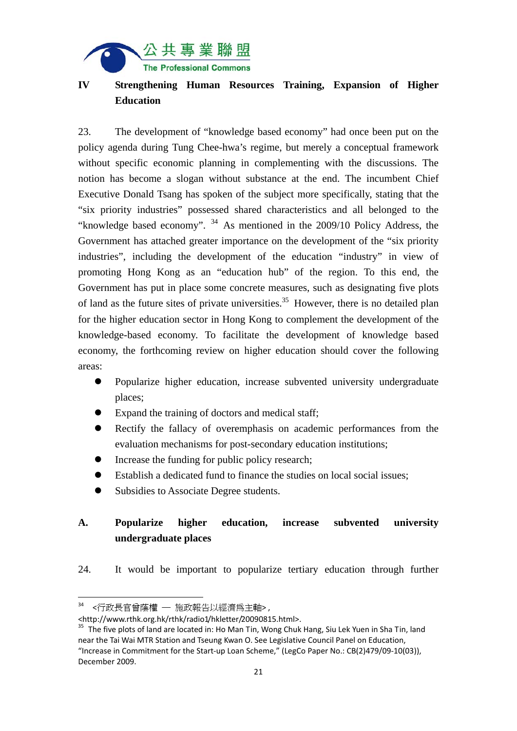

## **IV Strengthening Human Resources Training, Expansion of Higher Education**

23. The development of "knowledge based economy" had once been put on the policy agenda during Tung Chee-hwa's regime, but merely a conceptual framework without specific economic planning in complementing with the discussions. The notion has become a slogan without substance at the end. The incumbent Chief Executive Donald Tsang has spoken of the subject more specifically, stating that the "six priority industries" possessed shared characteristics and all belonged to the "knowledge based economy". 34 As mentioned in the 2009/10 Policy Address, the Government has attached greater importance on the development of the "six priority industries", including the development of the education "industry" in view of promoting Hong Kong as an "education hub" of the region. To this end, the Government has put in place some concrete measures, such as designating five plots of land as the future sites of private universities.<sup>35</sup> However, there is no detailed plan for the higher education sector in Hong Kong to complement the development of the knowledge-based economy. To facilitate the development of knowledge based economy, the forthcoming review on higher education should cover the following areas:

- Popularize higher education, increase subvented university undergraduate places;
- Expand the training of doctors and medical staff;
- Rectify the fallacy of overemphasis on academic performances from the evaluation mechanisms for post-secondary education institutions;
- Increase the funding for public policy research;
- Establish a dedicated fund to finance the studies on local social issues;
- Subsidies to Associate Degree students.

# **A. Popularize higher education, increase subvented university undergraduate places**

24. It would be important to popularize tertiary education through further

 <行政長官曾蔭權 — 施政報告以經濟為主軸>,

<sup>&</sup>lt;http://www.rthk.org.hk/rthk/radio1/hkletter/20090815.html>.

<sup>&</sup>lt;sup>35</sup> The five plots of land are located in: Ho Man Tin, Wong Chuk Hang, Siu Lek Yuen in Sha Tin, land near the Tai Wai MTR Station and Tseung Kwan O. See Legislative Council Panel on Education, "Increase in Commitment for the Start‐up Loan Scheme," (LegCo Paper No.: CB(2)479/09‐10(03)), December 2009.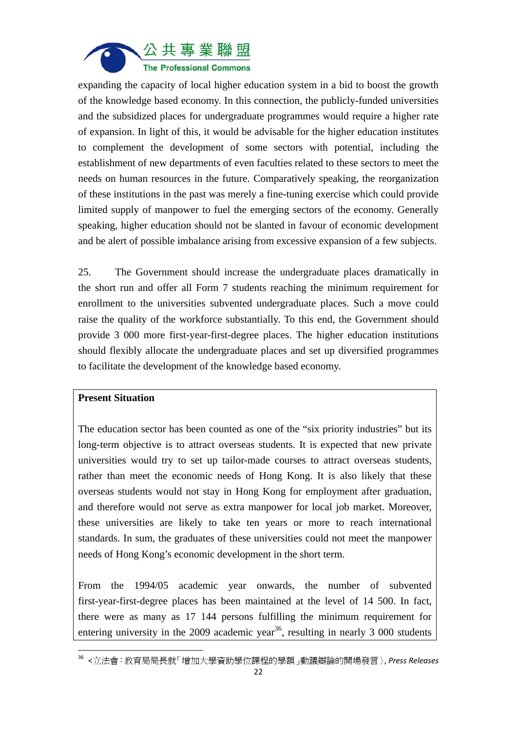

expanding the capacity of local higher education system in a bid to boost the growth of the knowledge based economy. In this connection, the publicly-funded universities and the subsidized places for undergraduate programmes would require a higher rate of expansion. In light of this, it would be advisable for the higher education institutes to complement the development of some sectors with potential, including the establishment of new departments of even faculties related to these sectors to meet the needs on human resources in the future. Comparatively speaking, the reorganization of these institutions in the past was merely a fine-tuning exercise which could provide limited supply of manpower to fuel the emerging sectors of the economy. Generally speaking, higher education should not be slanted in favour of economic development and be alert of possible imbalance arising from excessive expansion of a few subjects.

25. The Government should increase the undergraduate places dramatically in the short run and offer all Form 7 students reaching the minimum requirement for enrollment to the universities subvented undergraduate places. Such a move could raise the quality of the workforce substantially. To this end, the Government should provide 3 000 more first-year-first-degree places. The higher education institutions should flexibly allocate the undergraduate places and set up diversified programmes to facilitate the development of the knowledge based economy.

#### **Present Situation**

The education sector has been counted as one of the "six priority industries" but its long-term objective is to attract overseas students. It is expected that new private universities would try to set up tailor-made courses to attract overseas students, rather than meet the economic needs of Hong Kong. It is also likely that these overseas students would not stay in Hong Kong for employment after graduation, and therefore would not serve as extra manpower for local job market. Moreover, these universities are likely to take ten years or more to reach international standards. In sum, the graduates of these universities could not meet the manpower needs of Hong Kong's economic development in the short term.

From the 1994/05 academic year onwards, the number of subvented first-year-first-degree places has been maintained at the level of 14 500. In fact, there were as many as 17 144 persons fulfilling the minimum requirement for entering university in the 2009 academic year<sup>36</sup>, resulting in nearly 3 000 students

<sup>36</sup> <立法會:教育局局長就「增加大學資助學位課程的學額」動議辯論的開場發言〉, *Press Releases*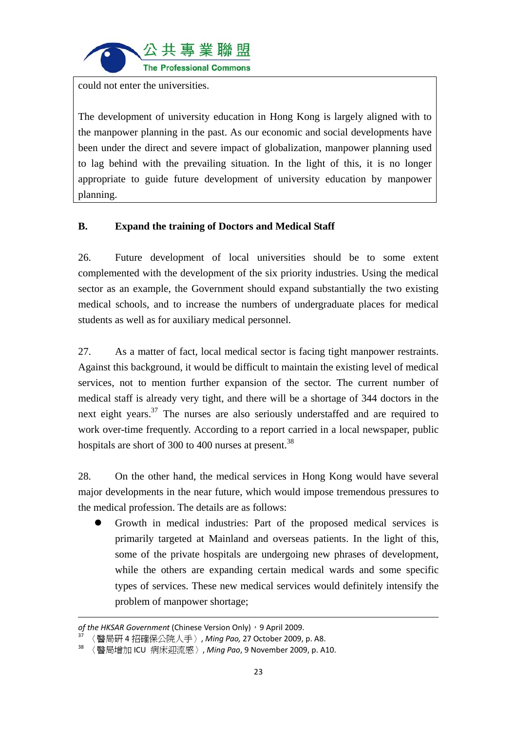

could not enter the universities.

The development of university education in Hong Kong is largely aligned with to the manpower planning in the past. As our economic and social developments have been under the direct and severe impact of globalization, manpower planning used to lag behind with the prevailing situation. In the light of this, it is no longer appropriate to guide future development of university education by manpower planning.

## **B. Expand the training of Doctors and Medical Staff**

26. Future development of local universities should be to some extent complemented with the development of the six priority industries. Using the medical sector as an example, the Government should expand substantially the two existing medical schools, and to increase the numbers of undergraduate places for medical students as well as for auxiliary medical personnel.

27. As a matter of fact, local medical sector is facing tight manpower restraints. Against this background, it would be difficult to maintain the existing level of medical services, not to mention further expansion of the sector. The current number of medical staff is already very tight, and there will be a shortage of 344 doctors in the next eight years. $37$  The nurses are also seriously understaffed and are required to work over-time frequently. According to a report carried in a local newspaper, public hospitals are short of 300 to 400 nurses at present.<sup>38</sup>

28. On the other hand, the medical services in Hong Kong would have several major developments in the near future, which would impose tremendous pressures to the medical profession. The details are as follows:

 Growth in medical industries: Part of the proposed medical services is primarily targeted at Mainland and overseas patients. In the light of this, some of the private hospitals are undergoing new phrases of development, while the others are expanding certain medical wards and some specific types of services. These new medical services would definitely intensify the problem of manpower shortage;

<u> 1989 - Johann Stoff, amerikansk politiker (d. 1989)</u>

*of the HKSAR Government* (Chinese Version Only), 9 April 2009.

<sup>37</sup> 〈醫局研 4 招確保公院人手〉, *Ming Pao,* 27 October 2009, p. A8.

<sup>38</sup> 〈醫局增加 ICU 病床迎流感〉, *Ming Pao*, 9 November 2009, p. A10.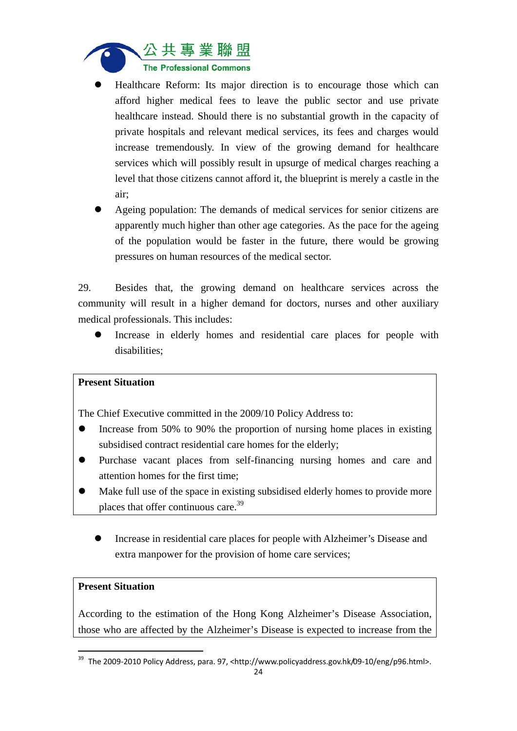

- Healthcare Reform: Its major direction is to encourage those which can afford higher medical fees to leave the public sector and use private healthcare instead. Should there is no substantial growth in the capacity of private hospitals and relevant medical services, its fees and charges would increase tremendously. In view of the growing demand for healthcare services which will possibly result in upsurge of medical charges reaching a level that those citizens cannot afford it, the blueprint is merely a castle in the air;
- Ageing population: The demands of medical services for senior citizens are apparently much higher than other age categories. As the pace for the ageing of the population would be faster in the future, there would be growing pressures on human resources of the medical sector.

29. Besides that, the growing demand on healthcare services across the community will result in a higher demand for doctors, nurses and other auxiliary medical professionals. This includes:

 Increase in elderly homes and residential care places for people with disabilities;

#### **Present Situation**

The Chief Executive committed in the 2009/10 Policy Address to:

- Increase from 50% to 90% the proportion of nursing home places in existing subsidised contract residential care homes for the elderly;
- Purchase vacant places from self-financing nursing homes and care and attention homes for the first time;
- Make full use of the space in existing subsidised elderly homes to provide more places that offer continuous care.39
	- Increase in residential care places for people with Alzheimer's Disease and extra manpower for the provision of home care services;

#### **Present Situation**

According to the estimation of the Hong Kong Alzheimer's Disease Association, those who are affected by the Alzheimer's Disease is expected to increase from the

<sup>&</sup>lt;sup>39</sup> The 2009-2010 Policy Address, para. 97, <http://www.policyaddress.gov.hk/09-10/eng/p96.html>.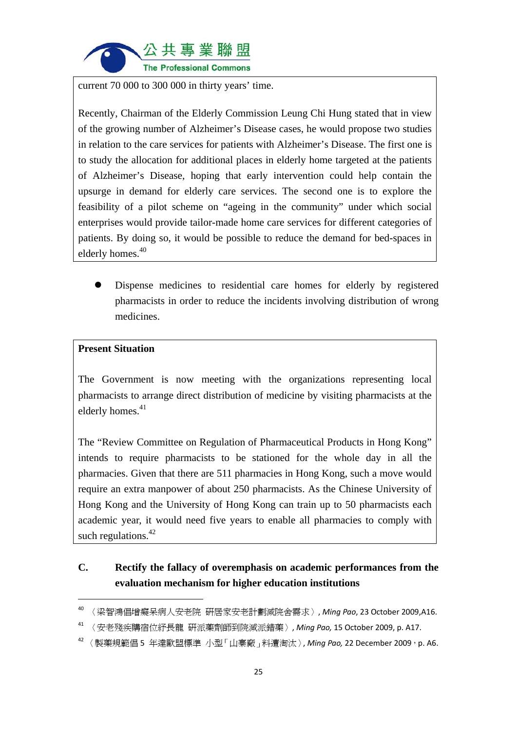

current 70 000 to 300 000 in thirty years' time.

Recently, Chairman of the Elderly Commission Leung Chi Hung stated that in view of the growing number of Alzheimer's Disease cases, he would propose two studies in relation to the care services for patients with Alzheimer's Disease. The first one is to study the allocation for additional places in elderly home targeted at the patients of Alzheimer's Disease, hoping that early intervention could help contain the upsurge in demand for elderly care services. The second one is to explore the feasibility of a pilot scheme on "ageing in the community" under which social enterprises would provide tailor-made home care services for different categories of patients. By doing so, it would be possible to reduce the demand for bed-spaces in elderly homes.<sup>40</sup>

 Dispense medicines to residential care homes for elderly by registered pharmacists in order to reduce the incidents involving distribution of wrong medicines.

## **Present Situation**

The Government is now meeting with the organizations representing local pharmacists to arrange direct distribution of medicine by visiting pharmacists at the elderly homes. $41$ 

The "Review Committee on Regulation of Pharmaceutical Products in Hong Kong" intends to require pharmacists to be stationed for the whole day in all the pharmacies. Given that there are 511 pharmacies in Hong Kong, such a move would require an extra manpower of about 250 pharmacists. As the Chinese University of Hong Kong and the University of Hong Kong can train up to 50 pharmacists each academic year, it would need five years to enable all pharmacies to comply with such regulations. $42$ 

# **C. Rectify the fallacy of overemphasis on academic performances from the evaluation mechanism for higher education institutions**

<sup>40</sup> 〈梁智鴻倡增癡呆病人安老院 研居家安老計劃減院舍需求〉, *Ming Pao*, 23 October 2009,A16.

<sup>41</sup> 〈安老殘疾購宿位紓長龍 研派藥劑師到院減派錯藥〉, *Ming Pao,* 15 October 2009, p. A17.

<sup>42</sup> 〈製藥規範倡 5 年達歐盟標準 小型「山寨廠」料遭淘汰〉, *Ming Pao,* 22 December 2009,p. A6.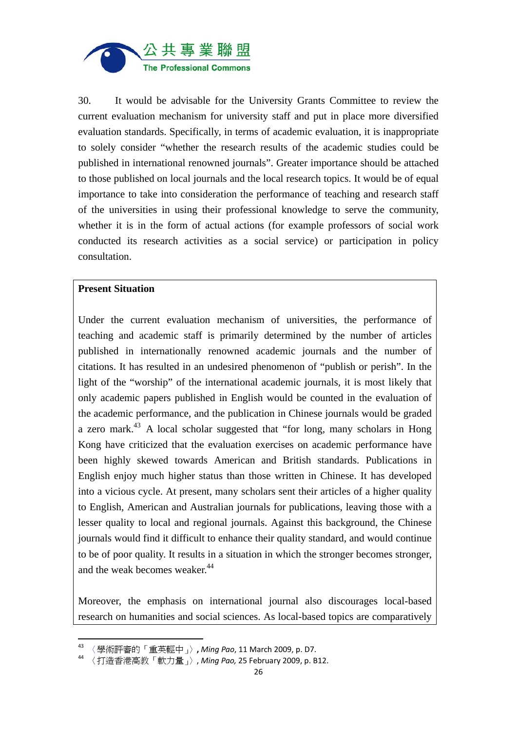

30. It would be advisable for the University Grants Committee to review the current evaluation mechanism for university staff and put in place more diversified evaluation standards. Specifically, in terms of academic evaluation, it is inappropriate to solely consider "whether the research results of the academic studies could be published in international renowned journals". Greater importance should be attached to those published on local journals and the local research topics. It would be of equal importance to take into consideration the performance of teaching and research staff of the universities in using their professional knowledge to serve the community, whether it is in the form of actual actions (for example professors of social work conducted its research activities as a social service) or participation in policy consultation.

#### **Present Situation**

Under the current evaluation mechanism of universities, the performance of teaching and academic staff is primarily determined by the number of articles published in internationally renowned academic journals and the number of citations. It has resulted in an undesired phenomenon of "publish or perish". In the light of the "worship" of the international academic journals, it is most likely that only academic papers published in English would be counted in the evaluation of the academic performance, and the publication in Chinese journals would be graded a zero mark. $43$  A local scholar suggested that "for long, many scholars in Hong Kong have criticized that the evaluation exercises on academic performance have been highly skewed towards American and British standards. Publications in English enjoy much higher status than those written in Chinese. It has developed into a vicious cycle. At present, many scholars sent their articles of a higher quality to English, American and Australian journals for publications, leaving those with a lesser quality to local and regional journals. Against this background, the Chinese journals would find it difficult to enhance their quality standard, and would continue to be of poor quality. It results in a situation in which the stronger becomes stronger, and the weak becomes weaker.<sup>44</sup>

Moreover, the emphasis on international journal also discourages local-based research on humanities and social sciences. As local-based topics are comparatively

<sup>43</sup> 〈學術評審的「重英輕中」〉**,** *Ming Pao*, 11 March 2009, p. D7.

<sup>44</sup> 〈打造香港高教「軟力量」〉, *Ming Pao,* 25 February 2009, p. B12.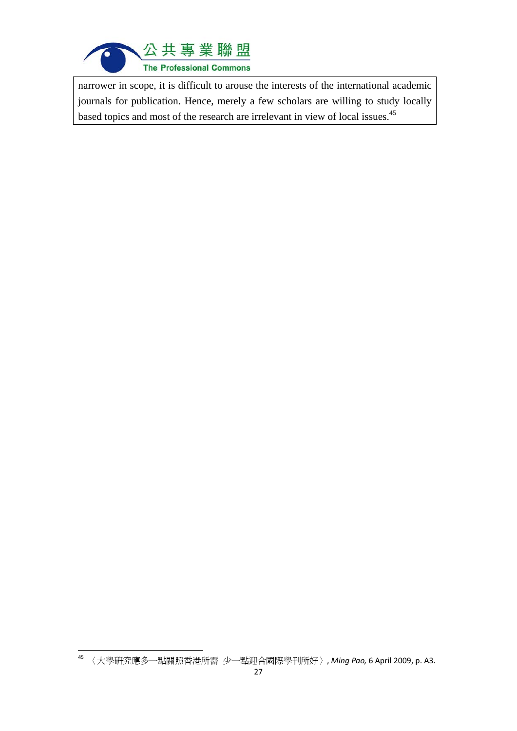

narrower in scope, it is difficult to arouse the interests of the international academic journals for publication. Hence, merely a few scholars are willing to study locally based topics and most of the research are irrelevant in view of local issues.<sup>45</sup>

 <sup>45</sup> 〈大學研究應多一點關照香港所需 少一點迎合國際學刊所好〉, *Ming Pao,* 6 April 2009, p. A3.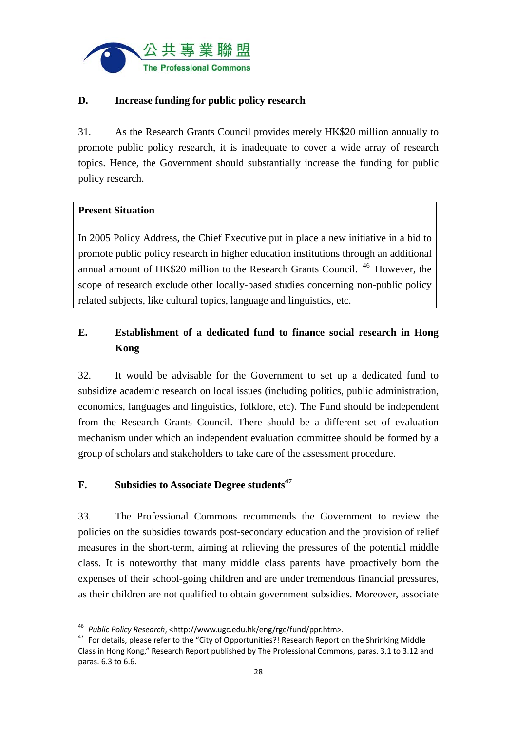

## **D. Increase funding for public policy research**

31. As the Research Grants Council provides merely HK\$20 million annually to promote public policy research, it is inadequate to cover a wide array of research topics. Hence, the Government should substantially increase the funding for public policy research.

## **Present Situation**

In 2005 Policy Address, the Chief Executive put in place a new initiative in a bid to promote public policy research in higher education institutions through an additional annual amount of HK\$20 million to the Research Grants Council. 46 However, the scope of research exclude other locally-based studies concerning non-public policy related subjects, like cultural topics, language and linguistics, etc.

# **E. Establishment of a dedicated fund to finance social research in Hong Kong**

32. It would be advisable for the Government to set up a dedicated fund to subsidize academic research on local issues (including politics, public administration, economics, languages and linguistics, folklore, etc). The Fund should be independent from the Research Grants Council. There should be a different set of evaluation mechanism under which an independent evaluation committee should be formed by a group of scholars and stakeholders to take care of the assessment procedure.

## **F.** Subsidies to Associate Degree students<sup>47</sup>

33. The Professional Commons recommends the Government to review the policies on the subsidies towards post-secondary education and the provision of relief measures in the short-term, aiming at relieving the pressures of the potential middle class. It is noteworthy that many middle class parents have proactively born the expenses of their school-going children and are under tremendous financial pressures, as their children are not qualified to obtain government subsidies. Moreover, associate

<sup>&</sup>lt;sup>46</sup> Public Policy Research, <http://www.ugc.edu.hk/eng/rgc/fund/ppr.htm>.

<sup>&</sup>lt;sup>47</sup> For details, please refer to the "City of Opportunities?! Research Report on the Shrinking Middle Class in Hong Kong," Research Report published by The Professional Commons, paras. 3,1 to 3.12 and paras. 6.3 to 6.6.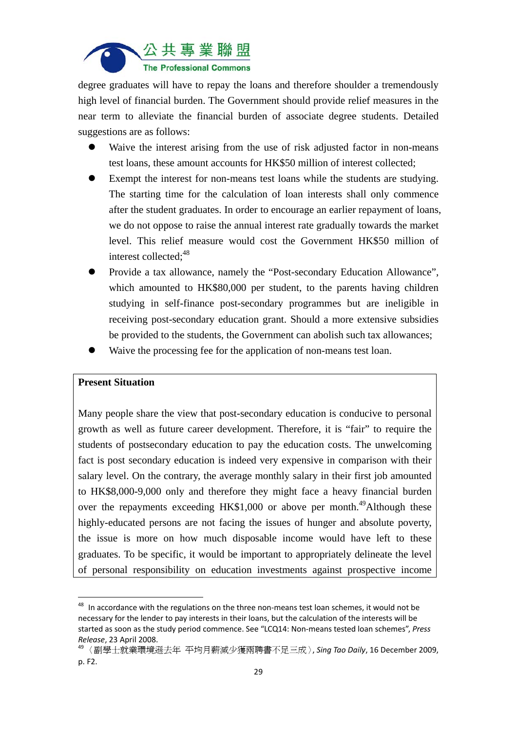

degree graduates will have to repay the loans and therefore shoulder a tremendously high level of financial burden. The Government should provide relief measures in the near term to alleviate the financial burden of associate degree students. Detailed suggestions are as follows:

- Waive the interest arising from the use of risk adjusted factor in non-means test loans, these amount accounts for HK\$50 million of interest collected;
- Exempt the interest for non-means test loans while the students are studying. The starting time for the calculation of loan interests shall only commence after the student graduates. In order to encourage an earlier repayment of loans, we do not oppose to raise the annual interest rate gradually towards the market level. This relief measure would cost the Government HK\$50 million of interest collected:<sup>48</sup>
- Provide a tax allowance, namely the "Post-secondary Education Allowance", which amounted to HK\$80,000 per student, to the parents having children studying in self-finance post-secondary programmes but are ineligible in receiving post-secondary education grant. Should a more extensive subsidies be provided to the students, the Government can abolish such tax allowances;
- Waive the processing fee for the application of non-means test loan.

#### **Present Situation**

Many people share the view that post-secondary education is conducive to personal growth as well as future career development. Therefore, it is "fair" to require the students of postsecondary education to pay the education costs. The unwelcoming fact is post secondary education is indeed very expensive in comparison with their salary level. On the contrary, the average monthly salary in their first job amounted to HK\$8,000-9,000 only and therefore they might face a heavy financial burden over the repayments exceeding HK\$1,000 or above per month.<sup>49</sup>Although these highly-educated persons are not facing the issues of hunger and absolute poverty, the issue is more on how much disposable income would have left to these graduates. To be specific, it would be important to appropriately delineate the level of personal responsibility on education investments against prospective income

 $48$  In accordance with the regulations on the three non-means test loan schemes, it would not be necessary for the lender to pay interests in their loans, but the calculation of the interests will be started as soon as the study period commence. See "LCQ14: Non‐means tested loan schemes", *Press Release*, <sup>23</sup> April 2008. <sup>49</sup> 〈副學士就業環境遜去年 平均月薪減少獲兩聘書不足三成〉, *Sing Tao Daily*, <sup>16</sup> December 2009,

p. F2.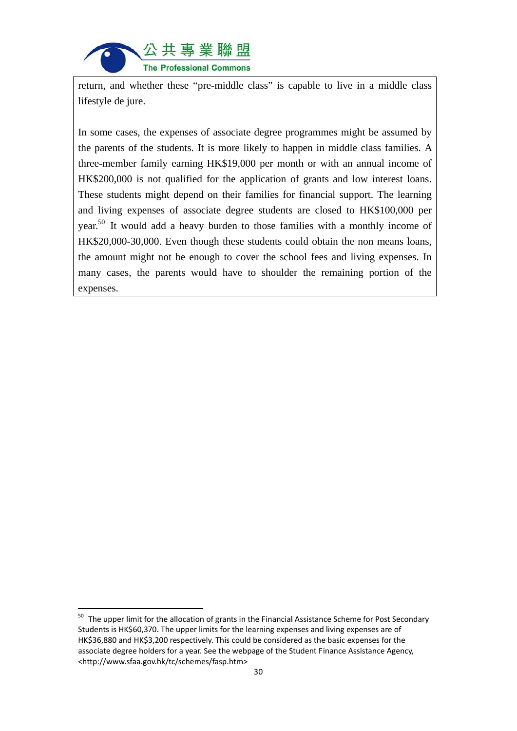

return, and whether these "pre-middle class" is capable to live in a middle class lifestyle de jure.

In some cases, the expenses of associate degree programmes might be assumed by the parents of the students. It is more likely to happen in middle class families. A three-member family earning HK\$19,000 per month or with an annual income of HK\$200,000 is not qualified for the application of grants and low interest loans. These students might depend on their families for financial support. The learning and living expenses of associate degree students are closed to HK\$100,000 per year.50 It would add a heavy burden to those families with a monthly income of HK\$20,000-30,000. Even though these students could obtain the non means loans, the amount might not be enough to cover the school fees and living expenses. In many cases, the parents would have to shoulder the remaining portion of the expenses.

<sup>&</sup>lt;sup>50</sup> The upper limit for the allocation of grants in the Financial Assistance Scheme for Post Secondary Students is HK\$60,370. The upper limits for the learning expenses and living expenses are of HK\$36,880 and HK\$3,200 respectively. This could be considered as the basic expenses for the associate degree holders for a year. See the webpage of the Student Finance Assistance Agency, <http://www.sfaa.gov.hk/tc/schemes/fasp.htm>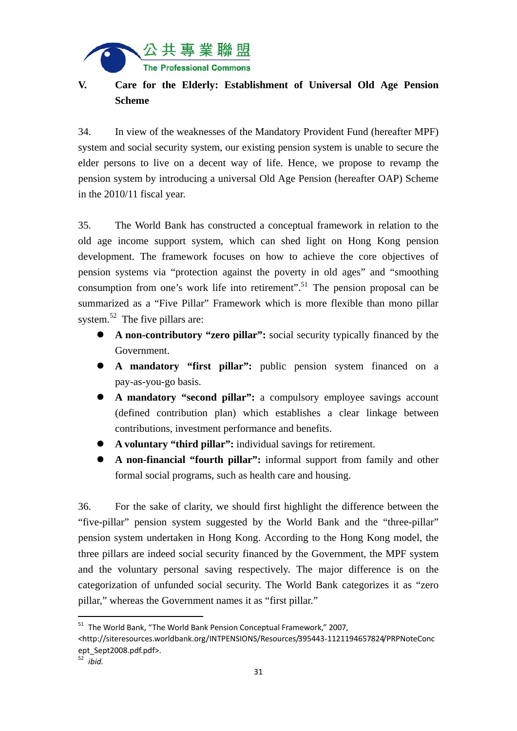

# **V. Care for the Elderly: Establishment of Universal Old Age Pension Scheme**

34. In view of the weaknesses of the Mandatory Provident Fund (hereafter MPF) system and social security system, our existing pension system is unable to secure the elder persons to live on a decent way of life. Hence, we propose to revamp the pension system by introducing a universal Old Age Pension (hereafter OAP) Scheme in the 2010/11 fiscal year.

35. The World Bank has constructed a conceptual framework in relation to the old age income support system, which can shed light on Hong Kong pension development. The framework focuses on how to achieve the core objectives of pension systems via "protection against the poverty in old ages" and "smoothing consumption from one's work life into retirement".<sup>51</sup> The pension proposal can be summarized as a "Five Pillar" Framework which is more flexible than mono pillar system.<sup>52</sup> The five pillars are:

- **A non-contributory "zero pillar":** social security typically financed by the Government.
- **A mandatory "first pillar":** public pension system financed on a pay-as-you-go basis.
- **A mandatory "second pillar":** a compulsory employee savings account (defined contribution plan) which establishes a clear linkage between contributions, investment performance and benefits.
- **A voluntary "third pillar":** individual savings for retirement.
- **A non-financial "fourth pillar":** informal support from family and other formal social programs, such as health care and housing.

36. For the sake of clarity, we should first highlight the difference between the "five-pillar" pension system suggested by the World Bank and the "three-pillar" pension system undertaken in Hong Kong. According to the Hong Kong model, the three pillars are indeed social security financed by the Government, the MPF system and the voluntary personal saving respectively. The major difference is on the categorization of unfunded social security. The World Bank categorizes it as "zero pillar," whereas the Government names it as "first pillar."

<sup>51</sup> The World Bank, "The World Bank Pension Conceptual Framework," 2007,

<sup>&</sup>lt;http://siteresources.worldbank.org/INTPENSIONS/Resources/395443‐1121194657824/PRPNoteConc ept\_Sept2008.pdf.pdf>.

<sup>52</sup> *ibid.*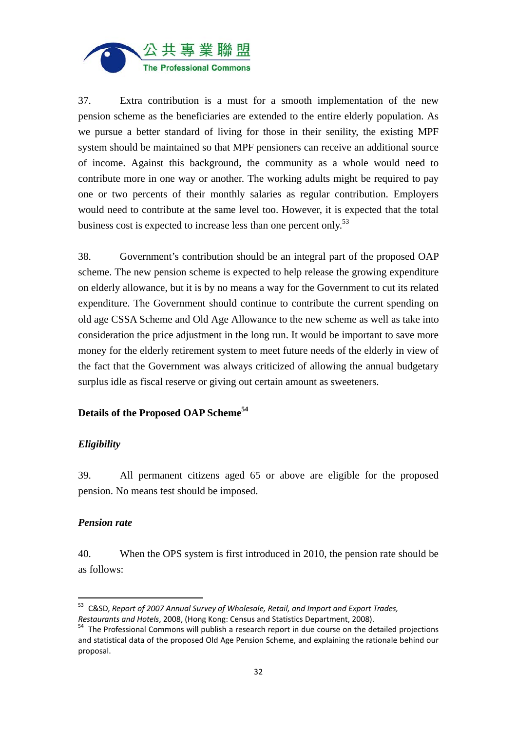

37. Extra contribution is a must for a smooth implementation of the new pension scheme as the beneficiaries are extended to the entire elderly population. As we pursue a better standard of living for those in their senility, the existing MPF system should be maintained so that MPF pensioners can receive an additional source of income. Against this background, the community as a whole would need to contribute more in one way or another. The working adults might be required to pay one or two percents of their monthly salaries as regular contribution. Employers would need to contribute at the same level too. However, it is expected that the total business cost is expected to increase less than one percent only.<sup>53</sup>

38. Government's contribution should be an integral part of the proposed OAP scheme. The new pension scheme is expected to help release the growing expenditure on elderly allowance, but it is by no means a way for the Government to cut its related expenditure. The Government should continue to contribute the current spending on old age CSSA Scheme and Old Age Allowance to the new scheme as well as take into consideration the price adjustment in the long run. It would be important to save more money for the elderly retirement system to meet future needs of the elderly in view of the fact that the Government was always criticized of allowing the annual budgetary surplus idle as fiscal reserve or giving out certain amount as sweeteners.

#### **Details of the Proposed OAP Scheme54**

#### *Eligibility*

39. All permanent citizens aged 65 or above are eligible for the proposed pension. No means test should be imposed.

#### *Pension rate*

40. When the OPS system is first introduced in 2010, the pension rate should be as follows:

<sup>53</sup> C&SD, *Report of 2007 Annual Survey of Wholesale, Retail, and Import and Export Trades,*

*Restaurants and Hotels*, 2008, (Hong Kong: Census and Statistics Department, 2008).<br><sup>54</sup> The Professional Commons will publish a research report in due course on the detailed projections and statistical data of the proposed Old Age Pension Scheme, and explaining the rationale behind our proposal.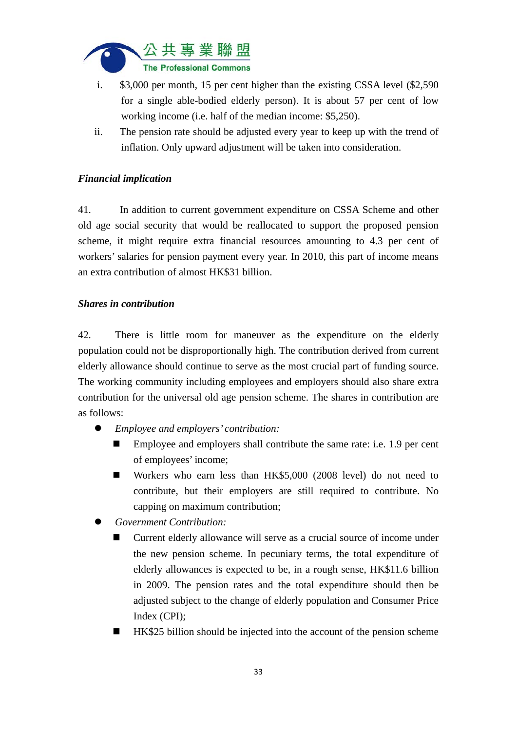

- i. \$3,000 per month, 15 per cent higher than the existing CSSA level (\$2,590 for a single able-bodied elderly person). It is about 57 per cent of low working income (i.e. half of the median income: \$5,250).
- ii. The pension rate should be adjusted every year to keep up with the trend of inflation. Only upward adjustment will be taken into consideration.

## *Financial implication*

41. In addition to current government expenditure on CSSA Scheme and other old age social security that would be reallocated to support the proposed pension scheme, it might require extra financial resources amounting to 4.3 per cent of workers' salaries for pension payment every year. In 2010, this part of income means an extra contribution of almost HK\$31 billion.

#### *Shares in contribution*

42. There is little room for maneuver as the expenditure on the elderly population could not be disproportionally high. The contribution derived from current elderly allowance should continue to serve as the most crucial part of funding source. The working community including employees and employers should also share extra contribution for the universal old age pension scheme. The shares in contribution are as follows:

- *Employee and employers' contribution:* 
	- Employee and employers shall contribute the same rate: i.e. 1.9 per cent of employees' income;
	- Workers who earn less than HK\$5,000 (2008 level) do not need to contribute, but their employers are still required to contribute. No capping on maximum contribution;
- *Government Contribution:* 
	- Current elderly allowance will serve as a crucial source of income under the new pension scheme. In pecuniary terms, the total expenditure of elderly allowances is expected to be, in a rough sense, HK\$11.6 billion in 2009. The pension rates and the total expenditure should then be adjusted subject to the change of elderly population and Consumer Price Index (CPI);
	- HK\$25 billion should be injected into the account of the pension scheme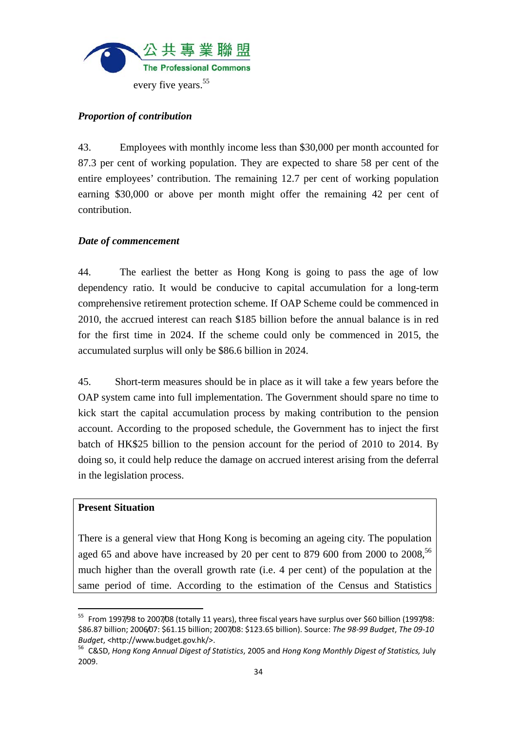

### *Proportion of contribution*

43. Employees with monthly income less than \$30,000 per month accounted for 87.3 per cent of working population. They are expected to share 58 per cent of the entire employees' contribution. The remaining 12.7 per cent of working population earning \$30,000 or above per month might offer the remaining 42 per cent of contribution.

#### *Date of commencement*

44. The earliest the better as Hong Kong is going to pass the age of low dependency ratio. It would be conducive to capital accumulation for a long-term comprehensive retirement protection scheme. If OAP Scheme could be commenced in 2010, the accrued interest can reach \$185 billion before the annual balance is in red for the first time in 2024. If the scheme could only be commenced in 2015, the accumulated surplus will only be \$86.6 billion in 2024.

45. Short-term measures should be in place as it will take a few years before the OAP system came into full implementation. The Government should spare no time to kick start the capital accumulation process by making contribution to the pension account. According to the proposed schedule, the Government has to inject the first batch of HK\$25 billion to the pension account for the period of 2010 to 2014. By doing so, it could help reduce the damage on accrued interest arising from the deferral in the legislation process.

#### **Present Situation**

There is a general view that Hong Kong is becoming an ageing city. The population aged 65 and above have increased by 20 per cent to 879 600 from 2000 to  $2008$ ,<sup>56</sup> much higher than the overall growth rate (i.e. 4 per cent) of the population at the same period of time. According to the estimation of the Census and Statistics

<sup>&</sup>lt;sup>55</sup> From 1997/98 to 2007/08 (totally 11 years), three fiscal years have surplus over \$60 billion (1997/98: \$86.87 billion; 2006/07: \$61.15 billion; 2007/08: \$123.65 billion). Source: *The 98‐99 Budget*, *The 09‐10* Budget, <http://www.budget.gov.hk/>.<br><sup>56</sup> C&SD, Hong Kong Annual Digest of Statistics, 2005 and Hong Kong Monthly Digest of Statistics, July

<sup>2009.</sup>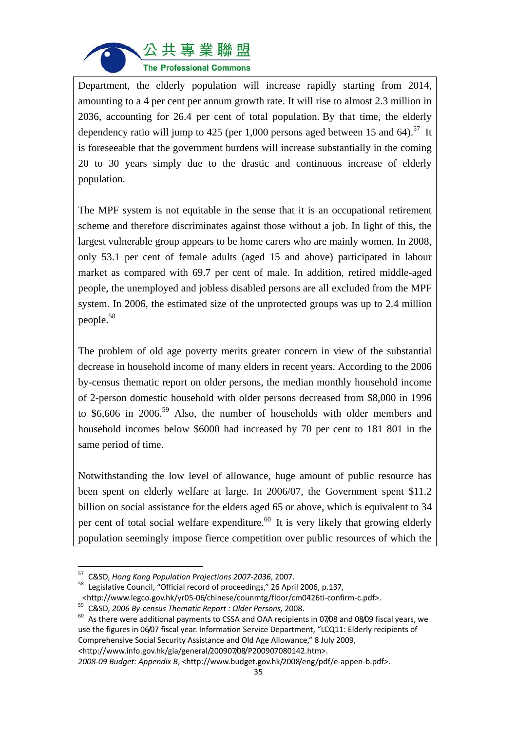

Department, the elderly population will increase rapidly starting from 2014, amounting to a 4 per cent per annum growth rate. It will rise to almost 2.3 million in 2036, accounting for 26.4 per cent of total population. By that time, the elderly dependency ratio will jump to 425 (per 1,000 persons aged between 15 and 64).<sup>57</sup> It is foreseeable that the government burdens will increase substantially in the coming 20 to 30 years simply due to the drastic and continuous increase of elderly population.

The MPF system is not equitable in the sense that it is an occupational retirement scheme and therefore discriminates against those without a job. In light of this, the largest vulnerable group appears to be home carers who are mainly women. In 2008, only 53.1 per cent of female adults (aged 15 and above) participated in labour market as compared with 69.7 per cent of male. In addition, retired middle-aged people, the unemployed and jobless disabled persons are all excluded from the MPF system. In 2006, the estimated size of the unprotected groups was up to 2.4 million people.58

The problem of old age poverty merits greater concern in view of the substantial decrease in household income of many elders in recent years. According to the 2006 by-census thematic report on older persons, the median monthly household income of 2-person domestic household with older persons decreased from \$8,000 in 1996 to  $$6,606$  in  $2006$ .<sup>59</sup> Also, the number of households with older members and household incomes below \$6000 had increased by 70 per cent to 181 801 in the same period of time.

Notwithstanding the low level of allowance, huge amount of public resource has been spent on elderly welfare at large. In 2006/07, the Government spent \$11.2 billion on social assistance for the elders aged 65 or above, which is equivalent to 34 per cent of total social welfare expenditure.<sup>60</sup> It is very likely that growing elderly population seemingly impose fierce competition over public resources of which the

<sup>57</sup> C&SD, *Hong Kong Population Projections <sup>2007</sup>‐2036*, 2007. <sup>58</sup> Legislative Council, "Official record of proceedings," <sup>26</sup> April 2006, p.137,

 $\mu$ shttp://www.legco.gov.hk/yr05-06/chinese/counmtg/floor/cm0426ti-confirm-c.pdf>.<br><sup>59</sup> C&SD, 2006 By-census Thematic Report : Older Persons, 2008.<br><sup>60</sup> As there were additional payments to CSSA and OAA recipients in 07/ use the figures in 06/07 fiscal year. Information Service Department, "LCQ11: Elderly recipients of Comprehensive Social Security Assistance and Old Age Allowance," 8 July 2009, <http://www.info.gov.hk/gia/general/200907/08/P200907080142.htm>.

*<sup>2008</sup>‐09 Budget: Appendix B*, <http://www.budget.gov.hk/2008/eng/pdf/e‐appen‐b.pdf>.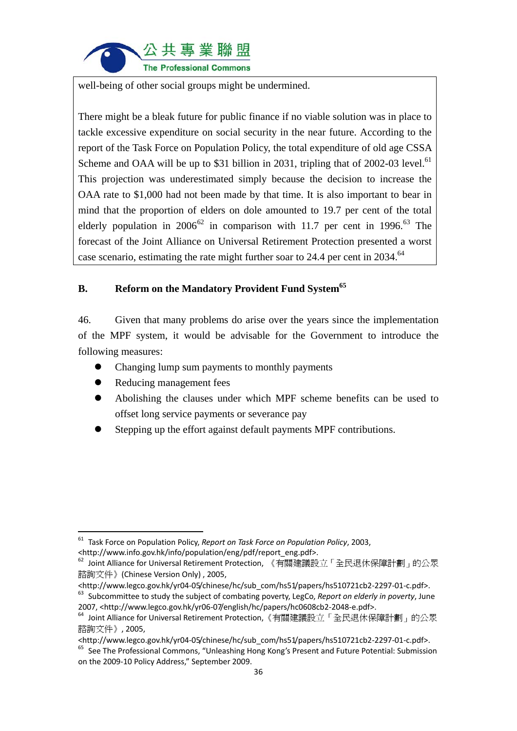

well-being of other social groups might be undermined.

There might be a bleak future for public finance if no viable solution was in place to tackle excessive expenditure on social security in the near future. According to the report of the Task Force on Population Policy, the total expenditure of old age CSSA Scheme and OAA will be up to \$31 billion in 2031, tripling that of  $2002-03$  level.<sup>61</sup> This projection was underestimated simply because the decision to increase the OAA rate to \$1,000 had not been made by that time. It is also important to bear in mind that the proportion of elders on dole amounted to 19.7 per cent of the total elderly population in  $2006^{62}$  in comparison with 11.7 per cent in 1996.<sup>63</sup> The forecast of the Joint Alliance on Universal Retirement Protection presented a worst case scenario, estimating the rate might further soar to 24.4 per cent in 2034.<sup>64</sup>

## **B. Reform on the Mandatory Provident Fund System<sup>65</sup>**

46. Given that many problems do arise over the years since the implementation of the MPF system, it would be advisable for the Government to introduce the following measures:

- Changing lump sum payments to monthly payments
- Reducing management fees
- Abolishing the clauses under which MPF scheme benefits can be used to offset long service payments or severance pay
- Stepping up the effort against default payments MPF contributions.

 <sup>61</sup> Task Force on Population Policy, *Report on Task Force on Population Policy*, 2003, <http://www.info.gov.hk/info/population/eng/pdf/report\_eng.pdf>.

<sup>&</sup>lt;sup>62</sup> Joint Alliance for Universal Retirement Protection, 《有關建議設立「全民退休保障計劃」的公眾 諮詢文件》(Chinese Version Only) , 2005,<br><http://www.legco.gov.hk/yr04-05/chinese/hc/sub\_com/hs51/papers/hs510721cb2-2297-01-c.pdf>.

<sup>&</sup>lt;sup>63</sup> Subcommittee to study the subject of combating poverty, LegCo, Report on elderly in poverty, June

<sup>2007, &</sup>lt;http://www.legco.gov.hk/yr06-07/english/hc/papers/hc0608cb2-2048-e.pdf>.<br><sup>64</sup> Joint Alliance for Universal Retirement Protection,《有關建議設立「全民退休保障計劃」的公眾

諮詢文件》, 2005,

<sup>&</sup>lt;http://www.legco.gov.hk/yr04‐05/chinese/hc/sub\_com/hs51/papers/hs510721cb2‐2297‐01‐c.pdf>. <sup>65</sup> See The Professional Commons, "Unleashing Hong Kong's Present and Future Potential: Submission

on the 2009‐10 Policy Address," September 2009.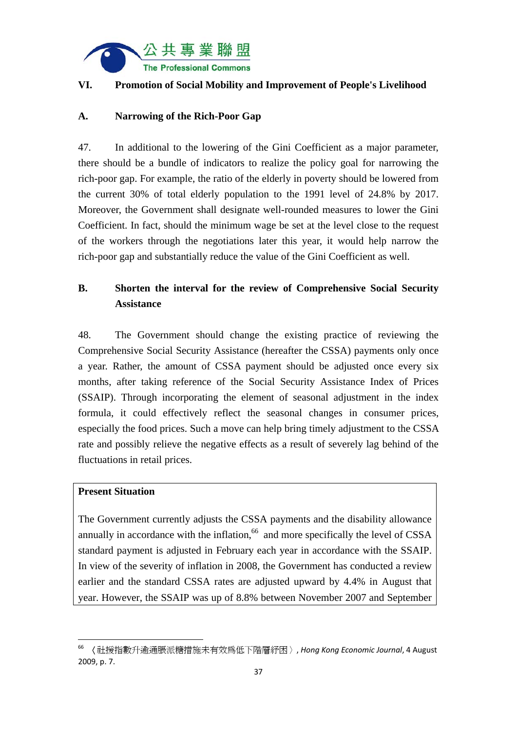

## **VI. Promotion of Social Mobility and Improvement of People's Livelihood**

## **A. Narrowing of the Rich-Poor Gap**

47. In additional to the lowering of the Gini Coefficient as a major parameter, there should be a bundle of indicators to realize the policy goal for narrowing the rich-poor gap. For example, the ratio of the elderly in poverty should be lowered from the current 30% of total elderly population to the 1991 level of 24.8% by 2017. Moreover, the Government shall designate well-rounded measures to lower the Gini Coefficient. In fact, should the minimum wage be set at the level close to the request of the workers through the negotiations later this year, it would help narrow the rich-poor gap and substantially reduce the value of the Gini Coefficient as well.

# **B. Shorten the interval for the review of Comprehensive Social Security Assistance**

48. The Government should change the existing practice of reviewing the Comprehensive Social Security Assistance (hereafter the CSSA) payments only once a year. Rather, the amount of CSSA payment should be adjusted once every six months, after taking reference of the Social Security Assistance Index of Prices (SSAIP). Through incorporating the element of seasonal adjustment in the index formula, it could effectively reflect the seasonal changes in consumer prices, especially the food prices. Such a move can help bring timely adjustment to the CSSA rate and possibly relieve the negative effects as a result of severely lag behind of the fluctuations in retail prices.

## **Present Situation**

The Government currently adjusts the CSSA payments and the disability allowance annually in accordance with the inflation, $66$  and more specifically the level of CSSA standard payment is adjusted in February each year in accordance with the SSAIP. In view of the severity of inflation in 2008, the Government has conducted a review earlier and the standard CSSA rates are adjusted upward by 4.4% in August that year. However, the SSAIP was up of 8.8% between November 2007 and September

<sup>66</sup> 〈社援指數升逾通脹派糖措施未有效為低下階層紓困〉, *Hong Kong Economic Journal*, 4 August 2009, p. 7.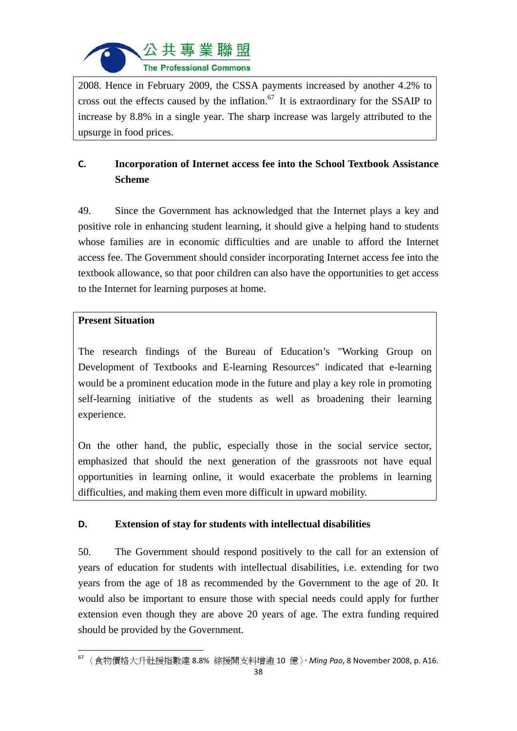

2008. Hence in February 2009, the CSSA payments increased by another 4.2% to cross out the effects caused by the inflation.<sup>67</sup> It is extraordinary for the SSAIP to increase by 8.8% in a single year. The sharp increase was largely attributed to the upsurge in food prices.

# **C. Incorporation of Internet access fee into the School Textbook Assistance Scheme**

49. Since the Government has acknowledged that the Internet plays a key and positive role in enhancing student learning, it should give a helping hand to students whose families are in economic difficulties and are unable to afford the Internet access fee. The Government should consider incorporating Internet access fee into the textbook allowance, so that poor children can also have the opportunities to get access to the Internet for learning purposes at home.

## **Present Situation**

The research findings of the Bureau of Education's "Working Group on Development of Textbooks and E-learning Resources" indicated that e-learning would be a prominent education mode in the future and play a key role in promoting self-learning initiative of the students as well as broadening their learning experience.

On the other hand, the public, especially those in the social service sector, emphasized that should the next generation of the grassroots not have equal opportunities in learning online, it would exacerbate the problems in learning difficulties, and making them even more difficult in upward mobility.

## **D. Extension of stay for students with intellectual disabilities**

50. The Government should respond positively to the call for an extension of years of education for students with intellectual disabilities, i.e. extending for two years from the age of 18 as recommended by the Government to the age of 20. It would also be important to ensure those with special needs could apply for further extension even though they are above 20 years of age. The extra funding required should be provided by the Government.

 <sup>67</sup> 〈食物價格大升社援指數達 8.8% 綜援開支料增逾 10 億〉,*Ming Pao*, 8 November 2008, p. A16.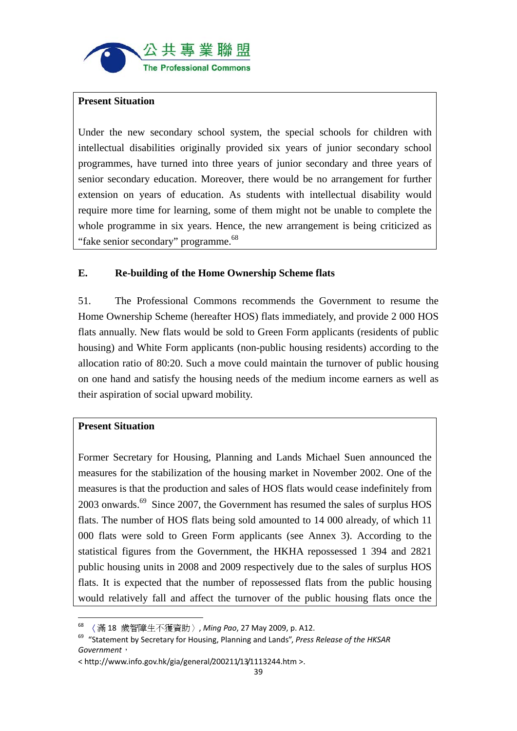

#### **Present Situation**

Under the new secondary school system, the special schools for children with intellectual disabilities originally provided six years of junior secondary school programmes, have turned into three years of junior secondary and three years of senior secondary education. Moreover, there would be no arrangement for further extension on years of education. As students with intellectual disability would require more time for learning, some of them might not be unable to complete the whole programme in six years. Hence, the new arrangement is being criticized as "fake senior secondary" programme.<sup>68</sup>

## **E. Re-building of the Home Ownership Scheme flats**

51. The Professional Commons recommends the Government to resume the Home Ownership Scheme (hereafter HOS) flats immediately, and provide 2 000 HOS flats annually. New flats would be sold to Green Form applicants (residents of public housing) and White Form applicants (non-public housing residents) according to the allocation ratio of 80:20. Such a move could maintain the turnover of public housing on one hand and satisfy the housing needs of the medium income earners as well as their aspiration of social upward mobility.

## **Present Situation**

Former Secretary for Housing, Planning and Lands Michael Suen announced the measures for the stabilization of the housing market in November 2002. One of the measures is that the production and sales of HOS flats would cease indefinitely from  $2003$  onwards.<sup>69</sup> Since 2007, the Government has resumed the sales of surplus HOS flats. The number of HOS flats being sold amounted to 14 000 already, of which 11 000 flats were sold to Green Form applicants (see Annex 3). According to the statistical figures from the Government, the HKHA repossessed 1 394 and 2821 public housing units in 2008 and 2009 respectively due to the sales of surplus HOS flats. It is expected that the number of repossessed flats from the public housing would relatively fall and affect the turnover of the public housing flats once the

 <sup>68</sup> 〈滿 18 歲智障生不獲資助〉, *Ming Pao*, 27 May 2009, p. A12.

<sup>69</sup> "Statement by Secretary for Housing, Planning and Lands", *Press Release of the HKSAR Government*,

<sup>&</sup>lt; http://www.info.gov.hk/gia/general/200211/13/1113244.htm >.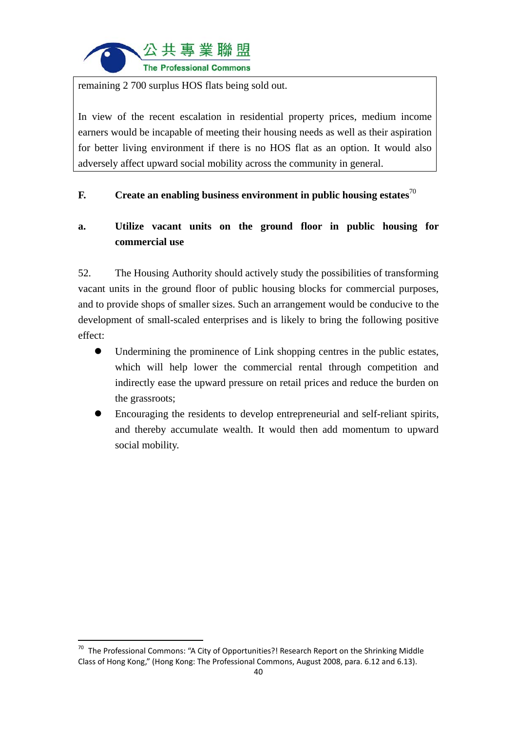

remaining 2 700 surplus HOS flats being sold out.

In view of the recent escalation in residential property prices, medium income earners would be incapable of meeting their housing needs as well as their aspiration for better living environment if there is no HOS flat as an option. It would also adversely affect upward social mobility across the community in general.

## **F. Create an enabling business environment in public housing estates**<sup>70</sup>

# **a. Utilize vacant units on the ground floor in public housing for commercial use**

52. The Housing Authority should actively study the possibilities of transforming vacant units in the ground floor of public housing blocks for commercial purposes, and to provide shops of smaller sizes. Such an arrangement would be conducive to the development of small-scaled enterprises and is likely to bring the following positive effect:

- Undermining the prominence of Link shopping centres in the public estates, which will help lower the commercial rental through competition and indirectly ease the upward pressure on retail prices and reduce the burden on the grassroots;
- Encouraging the residents to develop entrepreneurial and self-reliant spirits, and thereby accumulate wealth. It would then add momentum to upward social mobility.

<sup>&</sup>lt;sup>70</sup> The Professional Commons: "A City of Opportunities?! Research Report on the Shrinking Middle Class of Hong Kong," (Hong Kong: The Professional Commons, August 2008, para. 6.12 and 6.13).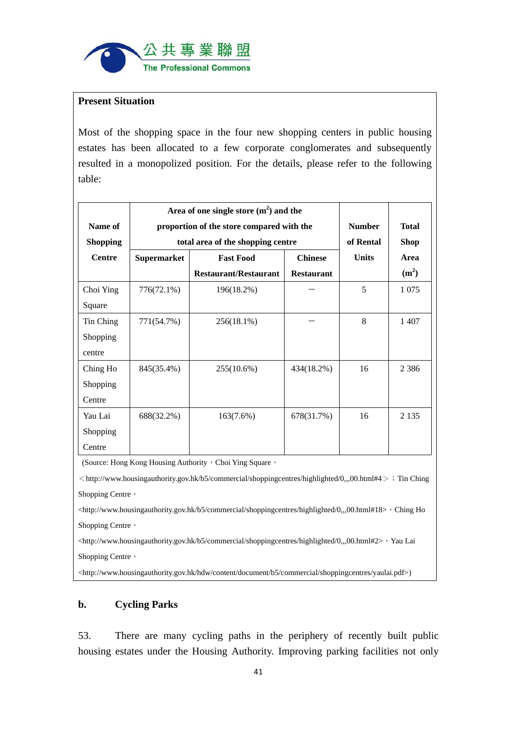

### **Present Situation**

Most of the shopping space in the four new shopping centers in public housing estates has been allocated to a few corporate conglomerates and subsequently resulted in a monopolized position. For the details, please refer to the following table:

|                 | Area of one single store $(m2)$ and the   |                                    |                   |              |                   |
|-----------------|-------------------------------------------|------------------------------------|-------------------|--------------|-------------------|
| Name of         | proportion of the store compared with the | <b>Number</b>                      | <b>Total</b>      |              |                   |
| <b>Shopping</b> | total area of the shopping centre         |                                    |                   | of Rental    | <b>Shop</b>       |
| <b>Centre</b>   | <b>Supermarket</b>                        | <b>Fast Food</b><br><b>Chinese</b> |                   | <b>Units</b> | Area              |
|                 |                                           | <b>Restaurant/Restaurant</b>       | <b>Restaurant</b> |              | (m <sup>2</sup> ) |
| Choi Ying       | 776(72.1%)                                | 196(18.2%)                         |                   | 5            | 1 0 7 5           |
| Square          |                                           |                                    |                   |              |                   |
| Tin Ching       | 771(54.7%)                                | 256(18.1%)                         |                   | 8            | 1407              |
| Shopping        |                                           |                                    |                   |              |                   |
| centre          |                                           |                                    |                   |              |                   |
| Ching Ho        | 845(35.4%)                                | 255(10.6%)                         | 434(18.2%)        | 16           | 2 3 8 6           |
| Shopping        |                                           |                                    |                   |              |                   |
| Centre          |                                           |                                    |                   |              |                   |
| Yau Lai         | 688(32.2%)                                | 163(7.6%)                          | 678(31.7%)        | 16           | 2 1 3 5           |
| Shopping        |                                           |                                    |                   |              |                   |
| Centre          |                                           |                                    |                   |              |                   |

(Source: Hong Kong Housing Authority, Choi Ying Square,

 $<$ http://www.housingauthority.gov.hk/b5/commercial/shoppingcentres/highlighted/0,,,00.html#4> ; Tin Ching Shopping Centre,

<http://www.housingauthority.gov.hk/b5/commercial/shoppingcentres/highlighted/0,,,00.html#18>, Ching Ho Shopping Centre,

<http://www.housingauthority.gov.hk/b5/commercial/shoppingcentres/highlighted/0,,,00.html#2>, Yau Lai Shopping Centre,

<http://www.housingauthority.gov.hk/hdw/content/document/b5/commercial/shoppingcentres/yaulai.pdf>)

#### **b. Cycling Parks**

53. There are many cycling paths in the periphery of recently built public housing estates under the Housing Authority. Improving parking facilities not only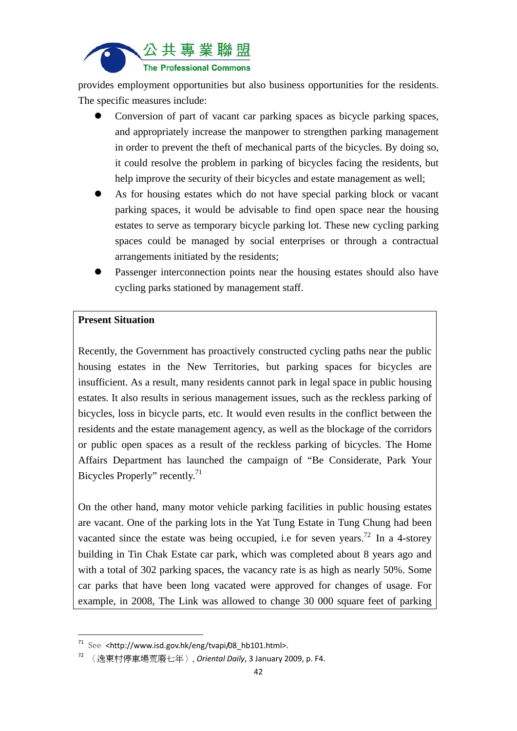

provides employment opportunities but also business opportunities for the residents. The specific measures include:

- Conversion of part of vacant car parking spaces as bicycle parking spaces, and appropriately increase the manpower to strengthen parking management in order to prevent the theft of mechanical parts of the bicycles. By doing so, it could resolve the problem in parking of bicycles facing the residents, but help improve the security of their bicycles and estate management as well;
- As for housing estates which do not have special parking block or vacant parking spaces, it would be advisable to find open space near the housing estates to serve as temporary bicycle parking lot. These new cycling parking spaces could be managed by social enterprises or through a contractual arrangements initiated by the residents;
- Passenger interconnection points near the housing estates should also have cycling parks stationed by management staff.

#### **Present Situation**

Recently, the Government has proactively constructed cycling paths near the public housing estates in the New Territories, but parking spaces for bicycles are insufficient. As a result, many residents cannot park in legal space in public housing estates. It also results in serious management issues, such as the reckless parking of bicycles, loss in bicycle parts, etc. It would even results in the conflict between the residents and the estate management agency, as well as the blockage of the corridors or public open spaces as a result of the reckless parking of bicycles. The Home Affairs Department has launched the campaign of "Be Considerate, Park Your Bicycles Properly" recently.<sup>71</sup>

On the other hand, many motor vehicle parking facilities in public housing estates are vacant. One of the parking lots in the Yat Tung Estate in Tung Chung had been vacanted since the estate was being occupied, i.e for seven years.<sup>72</sup> In a 4-storey building in Tin Chak Estate car park, which was completed about 8 years ago and with a total of 302 parking spaces, the vacancy rate is as high as nearly 50%. Some car parks that have been long vacated were approved for changes of usage. For example, in 2008, The Link was allowed to change 30 000 square feet of parking

 $71$  See <http://www.isd.gov.hk/eng/tvapi/08 hb101.html>.

<sup>72</sup> 〈逸東村停車場荒廢七年〉, *Oriental Daily*, 3 January 2009, p. F4.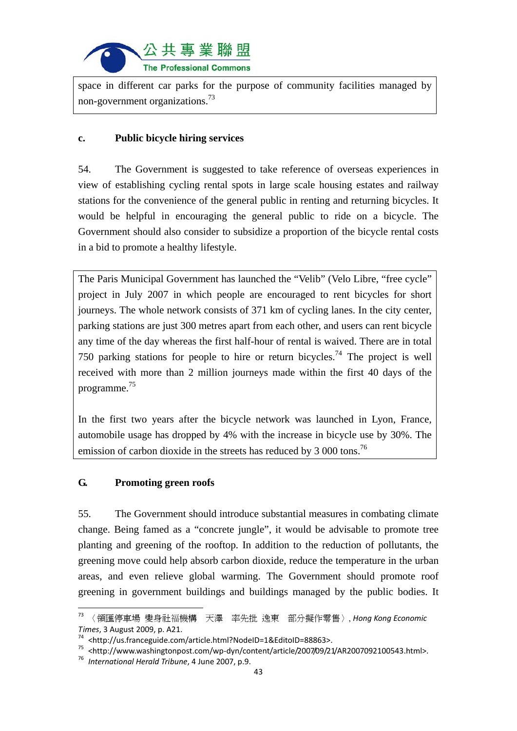

space in different car parks for the purpose of community facilities managed by non-government organizations.73

## **c. Public bicycle hiring services**

54. The Government is suggested to take reference of overseas experiences in view of establishing cycling rental spots in large scale housing estates and railway stations for the convenience of the general public in renting and returning bicycles. It would be helpful in encouraging the general public to ride on a bicycle. The Government should also consider to subsidize a proportion of the bicycle rental costs in a bid to promote a healthy lifestyle.

The Paris Municipal Government has launched the "Velib" (Velo Libre, "free cycle" project in July 2007 in which people are encouraged to rent bicycles for short journeys. The whole network consists of 371 km of cycling lanes. In the city center, parking stations are just 300 metres apart from each other, and users can rent bicycle any time of the day whereas the first half-hour of rental is waived. There are in total 750 parking stations for people to hire or return bicycles.<sup>74</sup> The project is well received with more than 2 million journeys made within the first 40 days of the programme.<sup>75</sup>

In the first two years after the bicycle network was launched in Lyon, France, automobile usage has dropped by 4% with the increase in bicycle use by 30%. The emission of carbon dioxide in the streets has reduced by  $3\,000$  tons.<sup>76</sup>

## **G. Promoting green roofs**

55. The Government should introduce substantial measures in combating climate change. Being famed as a "concrete jungle", it would be advisable to promote tree planting and greening of the rooftop. In addition to the reduction of pollutants, the greening move could help absorb carbon dioxide, reduce the temperature in the urban areas, and even relieve global warming. The Government should promote roof greening in government buildings and buildings managed by the public bodies. It

<sup>73</sup> 〈領匯停車場 變身社福機構 天澤 率先批 逸東 部分擬作零售〉, *Hong Kong Economic* Times, 3 August 2009, p. A21.<br><sup>74</sup> <http://us.franceguide.com/article.html?NodeID=1&EditoID=88863>.<br><sup>75</sup> <http://www.washingtonpost.com/wp-dyn/content/article/2007/09/21/AR2007092100543.html>.<br><sup>75</sup> International Herald Tr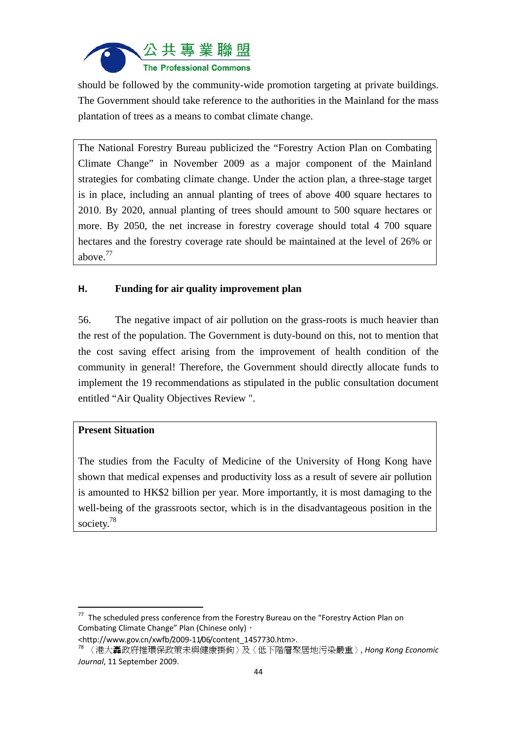

should be followed by the community-wide promotion targeting at private buildings. The Government should take reference to the authorities in the Mainland for the mass plantation of trees as a means to combat climate change.

The National Forestry Bureau publicized the "Forestry Action Plan on Combating Climate Change" in November 2009 as a major component of the Mainland strategies for combating climate change. Under the action plan, a three-stage target is in place, including an annual planting of trees of above 400 square hectares to 2010. By 2020, annual planting of trees should amount to 500 square hectares or more. By 2050, the net increase in forestry coverage should total 4 700 square hectares and the forestry coverage rate should be maintained at the level of 26% or above.77

## **H. Funding for air quality improvement plan**

56. The negative impact of air pollution on the grass-roots is much heavier than the rest of the population. The Government is duty-bound on this, not to mention that the cost saving effect arising from the improvement of health condition of the community in general! Therefore, the Government should directly allocate funds to implement the 19 recommendations as stipulated in the public consultation document entitled "Air Quality Objectives Review ".

## **Present Situation**

The studies from the Faculty of Medicine of the University of Hong Kong have shown that medical expenses and productivity loss as a result of severe air pollution is amounted to HK\$2 billion per year. More importantly, it is most damaging to the well-being of the grassroots sector, which is in the disadvantageous position in the society.<sup>78</sup>

 $77$  The scheduled press conference from the Forestry Bureau on the "Forestry Action Plan on Combating Climate Change" Plan (Chinese only),

<sup>&</sup>lt;http://www.gov.cn/xwfb/2009‐11/06/content\_1457730.htm>. <sup>78</sup> 〈港大轟政府推環保政策未與健康掛鉤〉及〈低下階層聚居地污染嚴重〉, *Hong Kong Economic Journal*, 11 September 2009.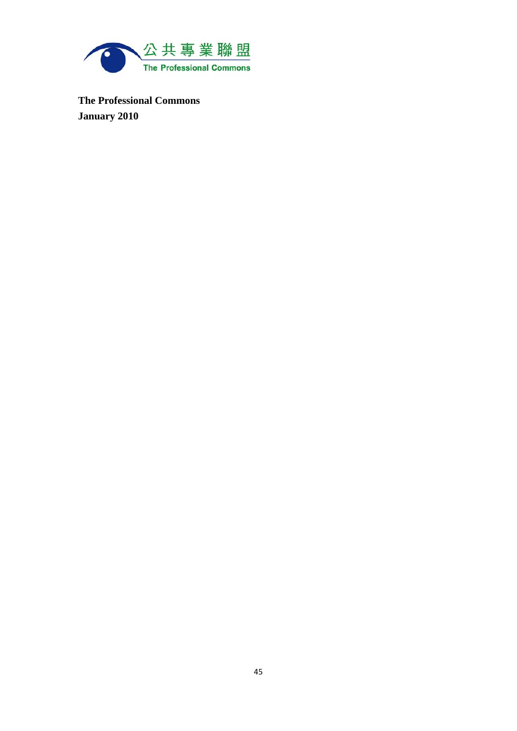

**The Professional Commons January 2010**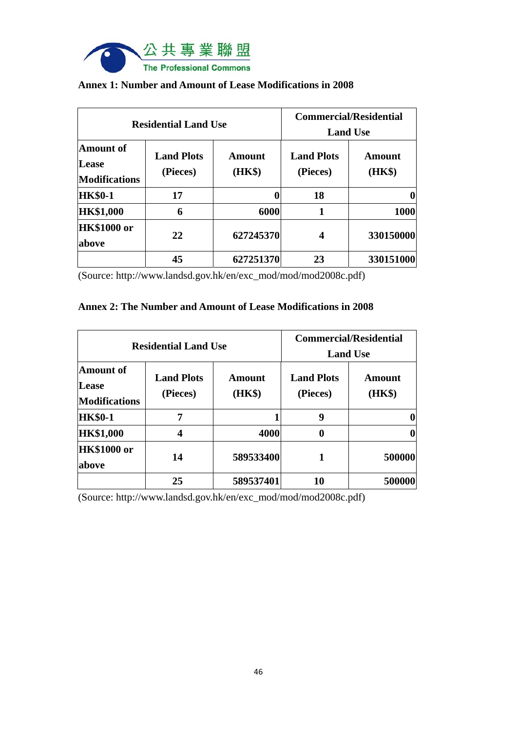

| <b>Residential Land Use</b>                       |                               |                         | <b>Commercial/Residential</b><br><b>Land Use</b> |                  |
|---------------------------------------------------|-------------------------------|-------------------------|--------------------------------------------------|------------------|
| <b>Amount</b> of<br>Lease<br><b>Modifications</b> | <b>Land Plots</b><br>(Pieces) | <b>Amount</b><br>(HK\$) | <b>Land Plots</b><br>(Pieces)                    | Amount<br>(HK\$) |
| <b>HK\$0-1</b>                                    | 17                            |                         | 18                                               |                  |
| <b>HK\$1,000</b>                                  | 6                             | 6000                    | 1                                                | 1000             |
| <b>HK\$1000 or</b><br>above                       | 22                            | 627245370               | 4                                                | 330150000        |
|                                                   | 45                            | 627251370               | 23                                               | 330151000        |

### **Annex 1: Number and Amount of Lease Modifications in 2008**

(Source: http://www.landsd.gov.hk/en/exc\_mod/mod/mod2008c.pdf)

#### **Annex 2: The Number and Amount of Lease Modifications in 2008**

| <b>Residential Land Use</b>                       |                               |                         | <b>Commercial/Residential</b><br><b>Land Use</b> |                  |
|---------------------------------------------------|-------------------------------|-------------------------|--------------------------------------------------|------------------|
| <b>Amount of</b><br>Lease<br><b>Modifications</b> | <b>Land Plots</b><br>(Pieces) | <b>Amount</b><br>(HK\$) | <b>Land Plots</b><br>(Pieces)                    | Amount<br>(HK\$) |
| <b>HK\$0-1</b>                                    | 7                             |                         | 9                                                |                  |
| <b>HK\$1,000</b>                                  | 4                             | 4000                    | 0                                                |                  |
| <b>HK\$1000 or</b><br>above                       | 14                            | 589533400               |                                                  | 500000           |
|                                                   | 25                            | 589537401               | 10                                               | 500000           |

(Source: http://www.landsd.gov.hk/en/exc\_mod/mod/mod2008c.pdf)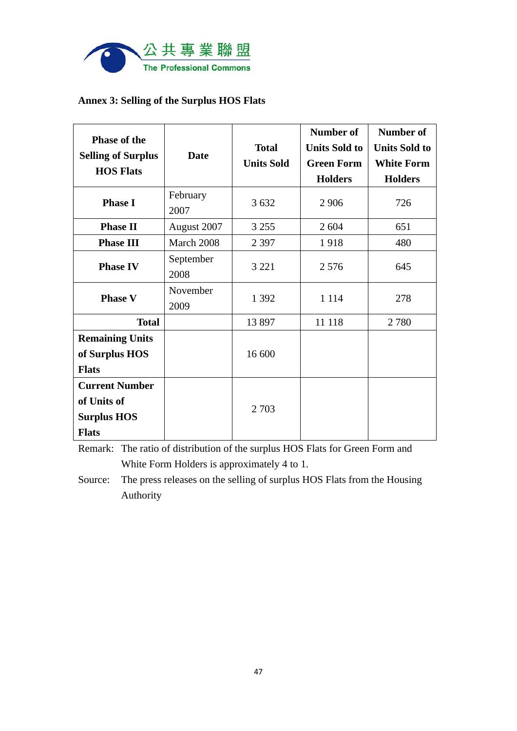

## **Annex 3: Selling of the Surplus HOS Flats**

| <b>Phase of the</b><br><b>Selling of Surplus</b><br><b>HOS Flats</b>       | <b>Date</b>       | <b>Total</b><br><b>Units Sold</b> | Number of<br><b>Units Sold to</b><br><b>Green Form</b><br><b>Holders</b> | Number of<br><b>Units Sold to</b><br><b>White Form</b><br><b>Holders</b> |
|----------------------------------------------------------------------------|-------------------|-----------------------------------|--------------------------------------------------------------------------|--------------------------------------------------------------------------|
| <b>Phase I</b>                                                             | February<br>2007  | 3 6 3 2                           | 2 9 0 6                                                                  | 726                                                                      |
| <b>Phase II</b>                                                            | August 2007       | 3 2 5 5                           | 2 604                                                                    | 651                                                                      |
| <b>Phase III</b>                                                           | March 2008        | 2 3 9 7                           | 1918                                                                     | 480                                                                      |
| <b>Phase IV</b>                                                            | September<br>2008 | 3 2 2 1                           | 2576                                                                     | 645                                                                      |
| <b>Phase V</b>                                                             | November<br>2009  | 1 3 9 2                           | 1 1 1 4                                                                  | 278                                                                      |
| <b>Total</b>                                                               |                   | 13 897                            | 11 118                                                                   | 2780                                                                     |
| <b>Remaining Units</b><br>of Surplus HOS<br><b>Flats</b>                   |                   | 16 600                            |                                                                          |                                                                          |
| <b>Current Number</b><br>of Units of<br><b>Surplus HOS</b><br><b>Flats</b> |                   | 2 7 0 3                           |                                                                          |                                                                          |

Remark: The ratio of distribution of the surplus HOS Flats for Green Form and White Form Holders is approximately 4 to 1.

Source: The press releases on the selling of surplus HOS Flats from the Housing Authority